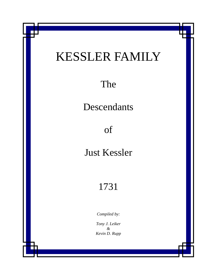# KESSLER FAMILY

The

Descendants

of

Just Kessler

# 1731

*Compiled by:* 

*Tony J. Leiker & Kevin D. Rupp*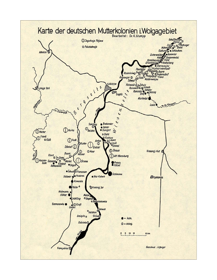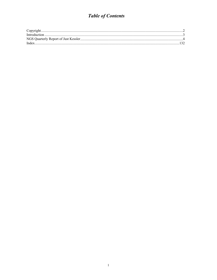# **Table of Contents**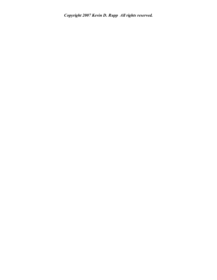*Copyright 2007 Kevin D. Rupp All rights reserved.*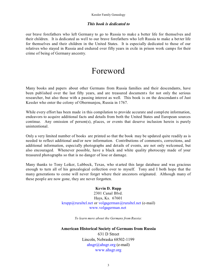#### Kessler Family Genealogy

#### *This book is dedicated to*

our brave forefathers who left Germany to go to Russia to make a better life for themselves and their children. It is dedicated as well to our brave forefathers who left Russia to make a bet ter life for themselves and their children in the United States. It is especially dedicated to those of our relatives who stayed in Russia and endured over fifty years in exile in prison work camps for their crime of being of Germany ancestry.

# Foreword

Many books and papers about other Germans from Russia families and their descendants, have been published over the last fifty years, and are treasured documents for not only the serious researcher, but also those with a passing interest as well. This book is on the descendants of Just Kessler who enter the colony of Obermunjou, Russia in 1767.

While every effort has been made in this compilation to provide accurate and complete information, endeavors to acquire additional facts and details from both the United States and European sources continue. Any omission of person(s), places, or events that deserve inclusion herein is purely unintentional.

Only a very limited number of books are printed so that the book may be updated quite readily as is needed to reflect additional and/or new information. Contributions of comments, corrections, and additional information, especially photographs and details of events, are not only welcomed, but also encouraged. Whenever possible, have a black and white quality photocopy made of your treasured photographs so that is no danger of lose or damage.

Many thanks to Tony Leiker, Lubbock, Texas, who st arted this large database and was gracious enough to turn all of his genealogical collection over to myself. Tony and I both hope that the many generations to come will never forget where their ancestors originated. Although many of these people are now gone, they are never forgotten.

#### **Kevin D. Rupp**

2301 Canal Blvd. Hays, Ks. 67601  $krupp@ruraltel.net$  or volgagerman $@ruraltel.net$  (e-mail) www.volgagerman.net

*To learn more about the Germans from Russia:*

# **American Historical Society of Germans from Russia** 631 D Street Lincoln, Nebraska 68502-1199 ahsgr@ahsgr.org (e-mail) www.ahsgr.org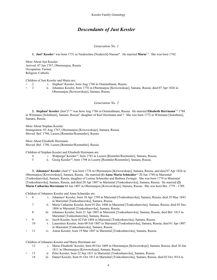## *Descendants of Just Kessler*

#### *Generation No. 1*

**1. Just1 Kessler***<sup>1</sup>* was born 1731 in Neukirchen [Neukirch]-Nassau\*. He married **Maria***2,3*. She was born 1742.

More About Just Kessler: Arrived: 07 Jun 1767, Obermunjou, Russia Occupation: Farmer Religion: Catholic

Children of Just Kessler and Maria are:

2 i. Stephan<sup>2</sup> Kessler, born Aug 1766 in Oranienbaum, Russia.<br>3 ii. Johannes Kessler, born 1776 in Obermuniou [Kriwowskoie + 3 ii. Johannes Kessler, born 1776 in Obermunjou [Kriwowskoje], Samara, Russia; died 07 Apr 1826 in Obermunjou [Kriwowskoje], Samara, Russia.

#### *Generation No. 2*

2. Stephan<sup>2</sup> Kessler (Just<sup>1)*4,5,6* was born Aug 1766 in Oranienbaum, Russia. He married Elisabeth Herrmann<sup>7,8</sup> 1788</sup> in Wittmann [Solothurn], Samara, Russia*<sup>9</sup>*, daughter of Karl Herrmann and ?. She was born 1772 in Wittmann [Solothurn], Samara, Russia.

More About Stephan Kessler: Immigration: 03 Aug 1767, Obermunjou [Kriwowskoje], Samara, Russia Moved: Bef. 1798, Luzern [Remmler/Roemmler], Russia

More About Elisabeth Herrmann: Moved: Bef. 1798, Luzern [Remmler/Roemmler], Russia

Children of Stephan Kessler and Elisabeth Herrmann are:

- 4 i. Walpurga3 Kessler*<sup>10</sup>*, born 1793 in Luzern [Remmler/Roemmler], Samara, Russia.
	- ii. Georg Kessler<sup>10</sup>, born 1798 in Luzern [Remmler/Roemmler], Samara, Russia.

**3. Johannes2 Kessler** (Just1)*<sup>11</sup>* was born 1776 in Obermunjou [Kriwowskoje], Samara, Russia, and died 07 Apr 1826 in Obermunjou [Kriwowskoje], Samara, Russia. He married **(1) Anna Maria Schneider***<sup>12</sup>* 20 Jun 1798 in Mariental [Tonkoshurovka], Samara, Russia, daughter of Lorenz Schneider and Barbara Zwinger. She was born 1779 in Mariental [Tonkoshurovka], Samara, Russia, and died 20 Apr 1807 in Mariental [Tonkoshurovka], Samara, Russia. He married **(2) Maria Catharina Herrmann** 04 Jun 1807 in Obermunjou [Kriwowskoje], Samara, Russia. She was born Bet. 1779 - 1789.

Children of Johannes Kessler and Anna Schneider are:

- + 6 i. Johannes3 Kessler, born 10 Apr 1799 in Mariental [Tonkoshurovka], Samara, Russia; died 29 May 1843 in Mariental [Tonkoshurovka], Samara, Russia.
	- 7 ii. Maria Catharine Kessler, born 05 Dec 1800 in Mariental [Tonkoshurovka], Samara, Russia; died 05 Dec 1804 in Mariental [Tonkoshurovka], Samara, Russia.
	- 8 iii. Johannes Kessler, born 21 Apr 1803 in Mariental [Tonkoshurovka], Samara, Russia; died Bef. 1813 in Mariental [Tonkoshurovka], Samara, Russia.
	- + 9 iv. Jacob Kessler, born 02 Feb 1804 in Mariental [Tonkoshurovka], Samara, Russia.
	- 10 v. Laurentius Kessler, born 08 Feb 1807 in Mariental [Tonkoshurovka], Samara, Russia; died 01 Apr 1807 in Mariental [Tonkoshurovka], Samara, Russia.
- 11 vi. Anton Kessler, born 19 Mar 1807 in Mariental [Tonkoshurovka], Samara, Russia.

Children of Johannes Kessler and Maria Herrmann are:

- 12 i. Maria Elisabeth<sup>3</sup> Kessler, born 09 Oct 1809 in Obermunjou [Kriwowskoje], Samara, Russia; died 26 Jun 1811 in Obermunjou [Kriwowskoje], Samara, Russia.
- 13 ii. Peter Kessler, born 22 Sep 1811 in Mariental [Tonkoshurovka], Samara, Russia.<br>14 iii. Daniel Kessler, born 01 Oct 1813 in Mariental [Tonkoshurovka], Samara, Russia.
- iii. Daniel Kessler, born 01 Oct 1813 in Mariental [Tonkoshurovka], Samara, Russia; died 02 Oct 1814 in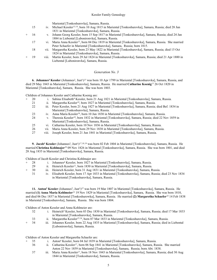Mariental [Tonkoshurovka], Samara, Russia.

- 15 iv. Michael Kessler*13,14*, born 10 Aug 1815 in Mariental [Tonkoshurovka], Samara, Russia; died 28 Jun 1831 in Mariental [Tonkoshurovka], Samara, Russia.
- 16 v. Johann Georg Kessler, born 15 Sep 1817 in Mariental [Tonkoshurovka], Samara, Russia; died 24 Jan 1884 in Liebental [Lubonironvka], Samara, Russia.
- 17 vi. Maria Anna Kessler*<sup>15</sup>*, born 04 Dec 1819 in Mariental [Tonkoshurovka], Samara, Russia. She married Peter Schaefer in Mariental [Tonkoshurovka], Samara, Russia; born 1815.
- 18 vii. Margaretha Kessler, born 23 May 1822 in Mariental [Tonkoshurovka], Samara, Russia; died 15 Oct 1824 in Mariental [Tonkoshurovka], Samara, Russia.
- 19 viii. Martin Kessler, born 29 Jul 1824 in Mariental [Tonkoshurovka], Samara, Russia; died 21 Apr 1880 in Liebental [Lubonironvka], Samara, Russia.

#### *Generation No. 3*

**6. Johannes<sup>3</sup> Kessler** (Johannes<sup>2</sup>, Just<sup>1)*15*</sup> was born 10 Apr 1799 in Mariental [Tonkoshurovka], Samara, Russia, and died 29 May 1843 in Mariental [Tonkoshurovka], Samara, Russia. He married **Catharine Koenig***<sup>15</sup>* 26 Oct 1820 in Mariental [Tonkoshurovka], Samara, Russia. She was born 1803.

Children of Johannes Kessler and Catharine Koenig are:

- 20 i. Sabina Elisabeth<sup>4</sup> Kessler, born 21 Aug 1821 in Mariental [Tonkoshurovka], Samara, Russia.
- 21 ii. Margaretha Kessler*<sup>16</sup>*, born 1827 in Mariental [Tonkoshurovka], Samara, Russia.
- 22 iii. Peter Kessler, born 21 Aug 1827 in Mariental [Tonkoshurovka], Samara, Russia; died Bef. 1834 in Mariental [Tonkoshurovka], Samara, Russia.
- 23 iv. Anna Maria Kessler*<sup>16</sup>*, born 10 Jun 1830 in Mariental [Tonkoshurovka], Samara, Russia.
- 24 v. Theresia Kessler*<sup>16</sup>*, born 1832 in Mariental [Tonkoshurovka], Samara, Russia; died 22 Nov 1859 in Mariental [Tonkoshurovka], Samara, Russia.
- 25 vi. Catharina Kessler, born 10 Nov 1836 in Mariental [Tonkoshurovka], Samara, Russia.
- 26 vii. Maria Anna Kessler, born 29 Nov 1838 in Mariental [Tonkoshurovka], Samara, Russia.
- 27 viii. Joseph Kessler, born 21 Jun 1841 in Mariental [Tonkoshurovka], Samara, Russia.

9. Jacob<sup>3</sup> Kessler (Johannes<sup>2</sup>, Just<sup>1</sup>)<sup>17,18,19</sup> was born 02 Feb 1804 in Mariental [Tonkoshurovka], Samara, Russia. He married **Christina Kohlmajer***<sup>20</sup>* 09 Nov 1826 in Mariental [Tonkoshurovka], Samara, Russia. She was born 1801, and died 28 Aug 1835 in Mariental [Tonkoshurovka], Samara, Russia.

Children of Jacob Kessler and Christina Kohlmajer are:

- 28 i. Johannes<sup>4</sup> Kessler, born 1827 in Mariental [Tonkoshurovka], Samara, Russia.<br>29 ii. Heinrich Kessler<sup>21</sup>, born 1830 in Mariental [Tonkoshurovka], Samara, Russia.
- ii. Heinrich Kessler<sup>21</sup>, born 1830 in Mariental [Tonkoshurovka], Samara, Russia.
- + 30 iii. Heinrich Kessler, born 31 Aug 1831 in Mariental [Tonkoshurovka], Samara, Russia.
- 31 iv. Elisabeth Kessler, born 17 Apr 1833 in Mariental [Tonkoshurovka], Samara, Russia; died 23 Nov 1834 in Mariental [Tonkoshurovka], Samara, Russia.

11. Anton<sup>3</sup> Kessler (Johannes<sup>2</sup>, Just<sup>1</sup>)<sup>22</sup> was born 19 Mar 1807 in Mariental [Tonkoshurovka], Samara, Russia. He married **(1) Anna Maria Kohlmeier***<sup>23</sup>* 19 Nov 1829 in Mariental [Tonkoshurovka], Samara, Russia. She was born 1810, and died 06 Dec 1837 in Mariental [Tonkoshurowka], Samara, Russia. He married **(2) Margaretha Schaefer***<sup>24</sup>* 14 Feb 1838 in Mariental [Tonkoshurovka], Samara, Russia. She was born 1804.

Children of Anton Kessler and Anna Kohlmeier are:

- 32 i. Heinrich4 Kessler, born 03 Dec 1830 in Mariental [Tonkoshurovka], Samara, Russia; died 17 Mar 1833 in Mariental [Tonkoshurovka], Samara, Russia.
- 33 ii. Margaretha Kessler*25,26*, born 07 Mar 1833 in Mariental [Tonkoshurovka], Samara, Russia.
- iii. Johannes Kessler, born 22 Aug 1835 in Mariental [Tonkoshurovka], Samara, Russia; died in Liebental [Lubonironvka], Samara, Russia.

Children of Anton Kessler and Margaretha Schaefer are:

- 35 i. Anton<sup>4</sup> Kessler, born 04 Jul 1839 in Mariental [Tonkoshurovka], Samara, Russia.
- 36 ii. Catharina Kessler*<sup>27</sup>*, born 06 Sep 1841 in Mariental [Tonkoshurovka], Samara, Russia. She married Anton 22 Nov 1859 in Mariental [Tonkoshurovka], Samara, Russia; born Abt. 1838.
- 37 iii. Maria Anna Kessler*<sup>27</sup>*, born 18 Nov 1843 in Mariental [Tonkoshurovka], Samara, Russia; died 30 Aug 1844 in Mariental [Tonkoshurovka], Samara, Russia.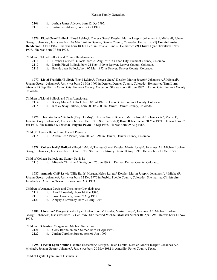- 2109 ii. Joshua James Adcock, born 12 Oct 1995.<br>2110 iii. Justin Lee Adcock, born 12 Oct 1995.
- iii. Justin Lee Adcock, born 12 Oct 1995.

**1776. Floyd Gene9 Bullock** (Floyd LeMoy8, Theresa Grace7 Kessler, Martin Joseph6, Johannes A.5, Michael4, Johann Georg3, Johannes2, Just1) was born 08 Mar 1968 in Denver, Denver County, Colorado. He married **(1) Connie Louise Henderson** 14 Feb 1987. She was born 18 Jun 1970 in Urbana, Illinois. He married **(2) Christi Lynn Traxler** 07 Nov 1998. She was born 07 Jan 1973.

Children of Floyd Bullock and Connie Henderson are:

- 2111 i. Heather Louise<sup>10</sup> Bullock, born 23 Aug 1987 in Canon City, Fremont County, Colorado.
- 2112 ii. Darrin Floyd Bullock, born 21 Nov 1990 in Denver, Denver County, Colorado.
- 2113 iii. Brenda Jean Bullock, born 05 Mar 1992 in Denver, Denver County, Colorado.

**1777. Lloyd Franklin9 Bullock** (Floyd LeMoy8, Theresa Grace7 Kessler, Martin Joseph6, Johannes A.5, Michael4, Johann Georg<sup>3</sup>, Johannes<sup>2</sup>, Just<sup>1</sup>) was born 21 Mar 1969 in Denver, Denver County, Colorado. He married Tina Lynn **Atencio** 28 Sep 1991 in Canon City, Fremont County, Colorado. She was born 02 Jun 1972 in Canon City, Fremont County, Colorado.

Children of Lloyd Bullock and Tina Atencio are:

2114 i. Kacey Marie10 Bullock, born 03 Jul 1991 in Canon City, Fremont County, Colorado.

2115 ii. Keeley Shay Bullock, born 20 Oct 2000 in Denver, Denver County, Colorado.

**1778. Theresia Irene<sup>9</sup> Bullock** (Floyd LeMoy<sup>8</sup>, Theresa Grace<sup>7</sup> Kessler, Martin Joseph<sup>6</sup>, Johannes A.<sup>5</sup>, Michael<sup>4</sup>, Johann Georg3, Johannes2, Just1) was born 26 Oct 1971. She married **(1) Darrell Lee Pierce** 30 Mar 1991. He was born 07 Jan 1972. She married **(2) Michael Eugene Payne** 16 Sep 1995. He was born 09 Aug 1963.

Child of Theresia Bullock and Darrell Pierce is:

2116 i. Austin Lee10 Pierce, born 10 Sep 1991 in Denver, Denver County, Colorado.

1779. Colleen Kelly<sup>9</sup> Bullock (Floyd LeMoy<sup>8</sup>, Theresa Grace<sup>7</sup> Kessler, Martin Joseph<sup>6</sup>, Johannes A.<sup>5</sup>, Michael<sup>4</sup>, Johann Georg<sup>3</sup>, Johannes<sup>2</sup>, Just<sup>1</sup>) was born 14 Jun 1973. She married **Stoney Davis** 08 Aug 1998. He was born 15 Oct 1973.

Child of Colleen Bullock and Stoney Davis is:

2117 i. Miranda Christine10 Davis, born 25 Jun 1995 in Denver, Denver County, Colorado.

**1787. Amanda Gail<sup>9</sup> Lewis** (Ollie Edith<sup>8</sup> Morgan, Helen Loretta<sup>7</sup> Kessler, Martin Joseph<sup>6</sup>, Johannes A.<sup>5</sup>, Michael<sup>4</sup>, Johann Georg3, Johannes2, Just1) was born 12 Dec 1976 in Pueblo, Pueblo County, Colorado. She married **Christopher Lovelady** in Amarillo, Texas. He was born Abt. 1973.

Children of Amanda Lewis and Christopher Lovelady are:

- 2118 i. Alex<sup>10</sup> Lovelady, born 14 Mar 1996.
- 2119 ii. Jason Lovelady, born 19 Aug 1998.
- 2120 iii. Abigayle Lovelady, born 22 Aug 1999.

**1788. Christine9 Morgan** (Leslie Lyle8, Helen Loretta7 Kessler, Martin Joseph6, Johannes A.5, Michael4, Johann Georg<sup>3</sup>, Johannes<sup>2</sup>, Just<sup>1</sup>) was born 19 Oct 1976. She married Michael Madison Surber 01 Apr 1994. He was born 11 Nov 1973.

Children of Christine Morgan and Michael Surber are:<br>2121 i. Cody Bartholomew<sup>10</sup> Surber, born

2121 i. Cody Bartholomew<sup>10</sup> Surber, born 01 Apr 1996.<br>2122 ii. Jordan Caroline Surber, born 01 Apr 1999.

ii. Jordan Caroline Surber, born 01 Apr 1999.

1795. Crystal Lynn Smith<sup>9</sup> Fishman (Rosemary<sup>8</sup> Morgan, Helen Loretta<sup>7</sup> Kessler, Martin Joseph<sup>6</sup>, Johannes A.<sup>5</sup>, Michael<sup>4</sup>, Johann Georg<sup>3</sup>, Johannes<sup>2</sup>, Just<sup>1</sup>) was born 20 May 1982 in Amarillo, Potter County, Texas.

Child of Crystal Lynn Smith Fishman is: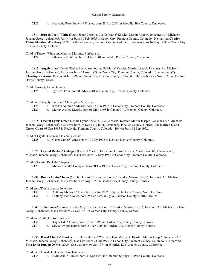2123 i. Heavenly Rose Francis<sup>10</sup> Trustee, born 28 Apr 2001 in Beeville, Bee County, Tennessee.

1814. Russell Leon<sup>9</sup> White (Kathy Joan<sup>8</sup> Castello, Lucille Maria<sup>7</sup> Kessler, Martin Joseph<sup>6</sup>, Johannes A.<sup>5</sup>, Michael<sup>4</sup>, Johann Georg3, Johannes2, Just1) was born 11 Feb 1975 in Canon City, Fremont County, Colorado. He married **Cheslsy Elaine Martinez-Forsberg** 30 Oct 1999 in Florence, Fremont County, Colorado. She was born 16 May 1978 in Canon City, Fremont County, Colorado.

Child of Russell White and Cheslsy Martinez-Forsberg is:

2124 i. Ethen Kray10 White, born 04 Jan 2001 in Pueblo, Pueblo County, Colorado.

**1815. Angely Lynn9 Davis** (Esther Lee8 Castello, Lucille Maria7 Kessler, Martin Joseph6, Johannes A.5, Michael4, Johann Georg<sup>3</sup>, Johannes<sup>2</sup>, Just<sup>1</sup>) was born 13 Aug 1979 in Canon City, Fremont County, Colorado. She married (2) **Christopher Aaron Mearis** 04 Jun 1997 in Canon City, Fremont County, Colorado. He was born 25 Nov 1978 in Houston, Harris County, Texas.

Child of Angely Lynn Davis is:

2125 i. Tyrus10 Davis, born 09 May 2001 in Canon City, Fremont County, Colorado.

Children of Angely Davis and Christopher Mearis are:

2126 i. Keanan Antonio<sup>10</sup> Mearis, born 18 Jun 1997 in Canon City, Fremont County, Colorado.

2127 ii. Meriah Ashley Mearis, born 01 May 1998 in Canon City, Fremont County, Colorado.

1818. Crystal Lynn<sup>9</sup> Green (Jennie Lynn<sup>8</sup> Castello, Lucille Maria<sup>7</sup> Kessler, Martin Joseph<sup>6</sup>, Johannes A.<sup>5</sup>, Michael<sup>4</sup>, Johann Georg3, Johannes2, Just1) was born 06 Dec 1977 in St. Petersburg, Pinellas County, Florida. She married **Glenn Gaven Guess** 03 Sep 1995 in Rockvale, Fremont County, Colorado. He was born 12 Sep 1972.

Child of Crystal Green and Glenn Guess is:

2128 i. Gaven James10 Guess, born 10 May 1996 in Denver, Denver County, Colorado.

1829. Crystal Rebkah<sup>9</sup> Cohagan (Herbert Martin<sup>8</sup>, Bernadine Louise<sup>7</sup> Kessler, Martin Joseph<sup>6</sup>, Johannes A.<sup>5</sup>, Michael<sup>4</sup>, Johann Georg<sup>3</sup>, Johannes<sup>2</sup>, Just<sup>1</sup>) was born 17 May 1982 in Canon City, Fremont County, Colorado.

Child of Crystal Rebkah Cohagan is:

2129 i. Michael Scott<sup>10</sup> Cohagan, born 30 Jan 1998 in Canon City, Fremont County, Colorado.

1838. Donna Louise<sup>9</sup> Jones (Carolyn Louise<sup>8</sup>, Bernadine Louise<sup>7</sup> Kessler, Martin Joseph<sup>6</sup>, Johannes A.<sup>5</sup>, Michael<sup>4</sup>, Johann Georg<sup>3</sup>, Johannes<sup>2</sup>, Just<sup>1</sup>) was born 22 Aug 1979 in Garden City, Finney County, Kansas.

Children of Donna Louise Jones are:

2130 i. Anthony Michael10 Jones, born 27 Jul 1997 in Sylva, Jackson County, North Carolina.

2131 ii. Brittany Marie Jones, born 25 Sep 1999 in Sylva, Jackson County, North Carolina.

**1843. Julie Louise9 Jones** (Priscilla May8, Bernadine Louise7 Kessler, Martin Joseph6, Johannes A.5, Michael4, Johann Georg<sup>3</sup>, Johannes<sup>2</sup>, Just<sup>1</sup>) was born 27 Oct 1981 in Garden City, Finney County, Kansas.

Children of Julie Louise Jones are:

2132 i. Kayla Jade10 Duran, born 19 Feb 1999 in Garden City, Finney County, Kansas.

2133 ii. Silvio Errique Duran, born 23 Feb 2000 in Garden City, Finney County, Kansas.

1857. David Charles<sup>9</sup> Bunker, Jr. (Deborah Jean<sup>8</sup> Worthen, Joan Margaret<sup>7</sup> Kessler, Martin Joseph<sup>6</sup>, Johannes A.<sup>5</sup>, Michael<sup>4</sup>, Johann Georg<sup>3</sup>, Johannes<sup>2</sup>, Just<sup>1</sup>) was born 21 Jul 1975 in Canon City, Fremont County, Colorado. He married **Tina Lynn Dunlap** 20 May 2000. She was born 06 Jan 1974 in Whittier, Los Angeles County, California.

Children of David Bunker and Tina Dunlap are:

2134 i. Kylie Ann10 Bunker, born 23 Sep 1996 in Colorado Springs, El Paso County, Colorado.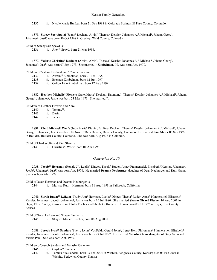2135 ii. Nicole Marie Bunker, born 21 Dec 1998 in Colorado Springs, El Paso County, Colorado.

**1873. Stacey Sue<sup>9</sup> Spayd** (Joann<sup>8</sup> Dechant, Alvin<sup>7</sup>, Theresa<sup>6</sup> Kessler, Johannes A.<sup>5</sup>, Michael<sup>4</sup>, Johann Georg<sup>3</sup>, Johannes<sup>2</sup>, Just<sup>1</sup>) was born 30 Oct 1968 in Greeley, Weld County, Colorado.

Child of Stacey Sue Spayd is:

2136 i. Alex10 Spayd, born 21 Mar 1994.

**1877.** Valerie Christine<sup>9</sup> Dechant (Alvin<sup>8</sup>, Alvin<sup>7</sup>, Theresa<sup>6</sup> Kessler, Johannes A.<sup>5</sup>, Michael<sup>4</sup>, Johann Georg<sup>3</sup>, Johannes<sup>2</sup>, Just<sup>1</sup>) was born 07 Sep 1973. She married **? Zimbelman**. He was born Abt. 1970.

Children of Valerie Dechant and ? Zimbelman are:<br>2137 i. Austin<sup>10</sup> Zimbelman, born 211

2137 i. Austin<sup>10</sup> Zimbelman, born 21 Feb 1995.<br>2138 ii. Brennan Zimbelman, born 12 Jun 1997.

2138 ii. Brennan Zimbelman, born 12 Jun 1997.<br>2139 iii. Colton John Zimbelman, born 17 Aug 19

iii. Colton John Zimbelman, born 17 Aug 1999.

1882. Heather Michelle<sup>9</sup> Flowers (Janet Marie<sup>8</sup> Dechant, Raymond<sup>7</sup>, Theresa<sup>6</sup> Kessler, Johannes A.<sup>5</sup>, Michael<sup>4</sup>, Johann Georg<sup>3</sup>, Johannes<sup>2</sup>, Just<sup>1</sup>) was born 23 Mar 1971. She married ?.

Children of Heather Flowers and ? are:

2140 i. Tommy10. 2141 ii. Darin.

2142 iii. Jana ?.

1891. Chad Michael<sup>9</sup> Wolfe (Judy Marie<sup>8</sup> Pfeifer, Pauline<sup>7</sup> Dechant, Theresa<sup>6</sup> Kessler, Johannes A.<sup>5</sup>, Michael<sup>4</sup>, Johann Georg<sup>3</sup>, Johannes<sup>2</sup>, Just<sup>1</sup>) was born 08 Nov 1976 in Denver, Denver County, Colorado. He married **Kim Slater** 05 Sep 1999 in Boulder, Boulder County, Colorado. She was born Aug 1978 in Colorado.

Child of Chad Wolfe and Kim Slater is:

2143 i. Christina10 Wolfe, born 04 Apr 1998.

*Generation No. 10*

2038. Jacob<sup>10</sup> Herrman (Ronald J.<sup>9</sup>, Luella<sup>8</sup> Dinges, Thecla<sup>7</sup> Ruder, Anna<sup>6</sup> Pfannenstiel, Elisabeth<sup>5</sup> Kessler, Johannes<sup>4</sup>, Jacob<sup>3</sup>, Johannes<sup>2</sup>, Just<sup>1</sup>) was born Abt. 1976. He married **Deanna Neuburger**, daughter of Dean Neuburger and Ruth Garza. She was born Abt. 1978.

Child of Jacob Herrman and Deanna Neuburger is:

2144 i. Marissa Ruth<sup>11</sup> Herrman, born 31 Aug 1998 in Fallbrook, California.

2040. Sarah Dawn<sup>10</sup> Leikam (Trudy Ann<sup>9</sup> Herrman, Luella<sup>8</sup> Dinges, Thecla<sup>7</sup> Ruder, Anna<sup>6</sup> Pfannenstiel, Elisabeth<sup>5</sup> Kessler, Johannes<sup>4</sup>, Jacob<sup>3</sup>, Johannes<sup>2</sup>, Just<sup>1</sup>) was born 10 Jul 1980. She married **Shawn Girard Fischer** 10 Aug 2001 in Hays, Ellis County, Kansas, son of John Fischer and Sheila Gottschalk. He was born 03 Jul 1976 in Hays, Ellis County, Kansas.

Child of Sarah Leikam and Shawn Fischer is:

2145 i. Shaylee Marie11 Fischer, born 08 Aug 2000.

2081. Joseph Ivan<sup>10</sup> Sanders (Sherry Lynn<sup>9</sup> VonFeldt, Gerald John<sup>8</sup>, Irene<sup>7</sup> Herl, Philomena<sup>6</sup> Pfannenstiel, Elisabeth<sup>5</sup> Kessler, Johannes<sup>4</sup>, Jacob<sup>3</sup>, Johannes<sup>2</sup>, Just<sup>1</sup>) was born 29 Jul 1982. He married Natasha Gano, daughter of Gary Gano and Vickie Paul. She was born Abt. 1985.

Children of Joseph Sanders and Natasha Gano are:

- 2146 i. Cayden<sup>11</sup> Sanders.
- 2147 ii. Tamika Sue Sanders, born 03 Feb 2004 in Wichita, Sedgwick County, Kansas; died 03 Feb 2004 in Wichita, Sedgwick County, Kansas.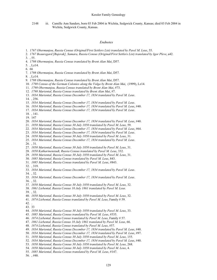#### Kessler Family Genealogy

2148 iii. Camille Ann Sanders, born 03 Feb 2004 in Wichita, Sedgwick County, Kansas; died 03 Feb 2004 in Wichita, Sedgwick County, Kansas.

#### *Endnotes*

- 1. *1767 Obermunjou, Russia Census (Original/First Settlers List) translated by Pavel M. Leus*, 55.
- 2. *1767 Beauregard [Bujerak], Samara, Russia Census (Original/First Settlers List) translated by Igor Pleve*, a42.
- 3. , 55.
- 4. *1798 Obermunjou, Russia Census translated by Brent Alan Mai*, D57.
- 5. , Lz14.
- 6. 66
- 7. *1798 Obermunjou, Russia Census translated by Brent Alan Mai*, D57.
- 8. , Lz14.
- 9. *1798 Obermunjou, Russia Census translated by Brent Alan Mai*, D57.
- 10. *1798 Census of the German Colonies along the Volga by Brent Alan Mai*, (1999), Lz14.
- 11. *1798 Obermunjou, Russia Census translated by Brent Alan Mai*, #73.
- 12. *1798 Mariental, Russia Census translated by Brent Alan Mai*, #7.
- 13. *1834 Mariental, Russia Census December 17, 1834 translated by Pavel M. Leus*.
- 14. , 256.
- 15. *1834 Mariental, Russia Census December 17, 1834 translated by Pavel M. Leus*.
- 16. *1834 Mariental, Russia Census December 17, 1834 translated by Pavel M. Leus*, #40.
- 17. *1834 Mariental, Russia Census December 17, 1834 translated by Pavel M. Leus*.
- 18. , 141.
- 19. 147
- 20. *1834 Mariental, Russia Census December 17, 1834 translated by Pavel M. Leus*, #40.
- 21. *1850 Mariental, Russia Census 30 July 1850 translated by Pavel M. Leus*, 59.
- 22. *1834 Mariental, Russia Census December 17, 1834 translated by Pavel M. Leus*, #64.
- 23. *1834 Mariental, Russia Census December 17, 1834 translated by Pavel M. Leus*.
- 24. *1850 Mariental, Russia Census 30 July 1850 translated by Pavel M. Leus*, 31.
- 25. *1834 Mariental, Russia Census December 17, 1834 translated by Pavel M. Leus*.
- 26. , 31.
- 27. *1850 Mariental, Russia Census 30 July 1850 translated by Pavel M. Leus*, 31.
- 28. *1850 Katharinenstadt, Russia Census translated by Pavel M. Leus*, 332.
- 29. *1850 Mariental, Russia Census 30 July 1850 translated by Pavel M. Leus*, 31.
- 30. *1885 Mariental, Russia Census translated by Pavel M. Leus*, 843.
- 31. *1885 Mariental, Russia Census translated by Pavel M. Leus*, #843.
- 32. , 319.
- 33. *1834 Mariental, Russia Census December 17, 1834 translated by Pavel M. Leus*.
- 34. , 32.
- 35. *1834 Mariental, Russia Census December 17, 1834 translated by Pavel M. Leus*. 36. , 32.
- 37. *1850 Mariental, Russia Census 30 July 1850 translated by Pavel M. Leus*, 32.
- 38. *1861 Liebental, Russia Census 10 July 1861 translated by Pavel M. Leus*.
- 39. , 32.
- 40. *1850 Mariental, Russia Census 30 July 1850 translated by Pavel M. Leus*, 32.
- 41. *1874 Liebental, Russia Census translated by Pavel M. Leus*, Family # 59.
- 42. .
- 43. 33
- 44. *1850 Mariental, Russia Census 30 July 1850 translated by Pavel M. Leus*, 33.
- 45. *1885 Mariental, Russia Census translated by Pavel M. Leus*, #535.
- 46. *1874 Liebental, Russia Census translated by Pavel M. Leus*, Family # 57.
- 47. *1861 Liebental, Russia Census 10 July 1861 translated by Pavel M. Leus*, 66.
- 48. *1874 Liebental, Russia Census translated by Pavel M. Leus*, #57.
- 49. *1834 Mariental, Russia Census December 17, 1834 translated by Pavel M. Leus*, #40.
- 50. *1834 Mariental, Russia Census December 17, 1834 translated by Pavel M. Leus*, #97.
- 51. *1850 Mariental, Russia Census 30 July 1850 translated by Pavel M. Leus*, 155.
- 52. *1834 Mariental, Russia Census December 17, 1834 translated by Pavel M. Leus*, #40.
- 53. *1850 Mariental, Russia Census 30 July 1850 translated by Pavel M. Leus*, 268.
- 54. *1850 Mariental, Russia Census 30 July 1850 translated by Pavel M. Leus*, 4.
- 55. *1885 Mariental, Russia Census translated by Pavel M. Leus*, #147.
- 56. , #40.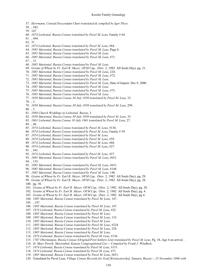- 57. *Herrmann, Conrad Descendant Chart translated & compiled by Igor Pleve*.
- 58. , #42.
- 59. 147
- 60. *1874 Liebental, Russia Census translated by Pavel M. Leus*, Family # 64.
- 61. , #64.
- 62. 31
- 63. *1874 Liebental, Russia Census translated by Pavel M. Leus*, #64.
- 64. *1885 Mariental, Russia Census translated by Pavel M. Leus*, Page 8.
- 65. *1885 Mariental, Russia Census translated by Pavel M. Leus*.
- 66. *1885 Mariental, Russia Census translated by Pavel M. Leus*, #71.
- 67. , 31.
- 68. *1885 Mariental, Russia Census translated by Pavel M. Leus*.
- 69. *Grains of Wheat by Fr. Earl R. Meyer, OFM Cap*, (Nov. 2, 1982 All Souls Day), pg. 21.
- 70. *1885 Mariental, Russia Census translated by Pavel M. Leus*, 224.
- 71. *1885 Mariental, Russia Census translated by Pavel M. Leus*, #72.
- 72. *1885 Mariental, Russia Census translated by Pavel M. Leus*.
- 73. *1885 Mariental, Russia Census translated by Pavel M. Leus*, Date of Import: Dec 9, 2000.
- 74. *1885 Mariental, Russia Census translated by Pavel M. Leus*.
- 75. *1885 Mariental, Russia Census translated by Pavel M. Leus*, #73.
- 76. *1885 Mariental, Russia Census translated by Pavel M. Leus*.
- 77. *1850 Mariental, Russia Census 30 July 1850 translated by Pavel M. Leus*, 33.
- 78. , 3.
- 79. *1850 Mariental, Russia Census 30 July 1850 translated by Pavel M. Leus*, 299.
- 80. , 3.
- 81. *1888 Church Weddings in Liebental, Russia*, 3.
- 82. *1850 Mariental, Russia Census 30 July 1850 translated by Pavel M. Leus*, 33.
- 83. *1861 Liebental, Russia Census 10 July 1861 translated by Pavel M. Leus*, 27.
- 84. , 46.
- 85. *1874 Liebental, Russia Census translated by Pavel M. Leus*, #136.
- 86. *1874 Liebental, Russia Census translated by Pavel M. Leus*, Family # 59.
- 87. *1874 Liebental, Russia Census translated by Pavel M. Leus*.
- 88. *1874 Liebental, Russia Census translated by Pavel M. Leus*, #59.
- 89. *1874 Liebental, Russia Census translated by Pavel M. Leus*, #68.
- 90. *1874 Liebental, Russia Census translated by Pavel M. Leus*, #27.
- 91. , #41.
- 92. *1874 Liebental, Russia Census translated by Pavel M. Leus*, #27.
- 93. *1885 Mariental, Russia Census translated by Pavel M. Leus*, #651.
- 94. , 155.
- 95. *1885 Mariental, Russia Census translated by Pavel M. Leus*, #651.
- 96. *1885 Mariental, Russia Census translated by Pavel M. Leus*, #148.
- 97. *1885 Mariental, Russia Census translated by Pavel M. Leus*, 148.
- 98. *Grains of Wheat by Fr. Earl R. Meyer, OFM Cap*, (Nov. 2, 1982 All Souls Day), pg. 29.
- 99. *Grains of Wheat by Fr. Earl R. Meyer, OFM Cap*, (Nov. 2, 1982 All Souls Day), pg. 28. 100. pg. 30.
- 101. *Grains of Wheat by Fr. Earl R. Meyer, OFM Cap*, (Nov. 2, 1982 All Souls Day), pg. 28.
- 102. *Grains of Wheat by Fr. Earl R. Meyer, OFM Cap*, (Nov. 2, 1982 All Souls Day), pg. 4.
- 103. *Grains of Wheat by Fr. Earl R. Meyer, OFM Cap*, (Nov. 2, 1982 All Souls Day), pg 4.
- 104. *1885 Mariental, Russia Census translated by Pavel M. Leus*, 147.
- 105. , 147.
- 106. *1885 Mariental, Russia Census translated by Pavel M. Leus*, 147.
- 107. *1874 Liebental, Russia Census translated by Pavel M. Leus*, #22.
- 108. *1885 Mariental, Russia Census translated by Pavel M. Leus*.
- 109. *1885 Mariental, Russia Census translated by Pavel M. Leus*, 133.
- 110. *1885 Mariental, Russia Census translated by Pavel M. Leus*.
- 111. *1885 Mariental, Russia Census translated by Pavel M. Leus*, #224.
- 112. *1885 Mariental, Russia Census translated by Pavel M. Leus*, 224.
- 113. *1885 Mariental, Russia Census translated by Pavel M. Leus*.
- 114. *1874 Liebental, Russia Census translated by Pavel M. Leus*, #136.
- 115. *1767 Obermunjou, Russia Census (Original/First Settlers List) translated by Pavel M. Leus*, Pg. 34, Age 4 on arrival. .
- 116. *St. Mary Parish, Marienthal, Kansas Congregational List -- Compiled by Frank J. Windholz*.
- 117. *1874 Liebental, Russia Census translated by Pavel M. Leus*, #151.
- 118. *1874 Liebental, Russia Census translated by Pavel M. Leus*, #71.
- 119. *1885 Mariental, Russia Census translated by Pavel M. Leus*, #651.
- 120. Translated by Pavel Leus, *Village Census Records for Graf [Krutoyarovka], Samara, Russia -- 25 November 1896 with*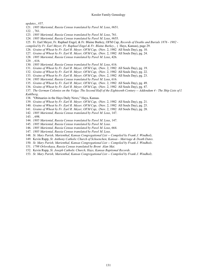*updates.*, #37.

- 121. *1885 Mariental, Russia Census translated by Pavel M. Leus*, #651.
- 122. , 761.
- 123. *1885 Mariental, Russia Census translated by Pavel M. Leus*, 761.
- 124. *1885 Mariental, Russia Census translated by Pavel M. Leus*, #655.
- 125. Fr. Earl Meyer, Fr. Raphael Engel, & Fr. Blaine Burkey, OFM Cap, *Records of Deaths and Burials 1876 1982 -*
- *compiled by Fr. Earl Meyer, Fr. Raphael Engel & Fr. Blaine Burkey.*, ( Hays, Kansas), page 29.
- 126. *Grains of Wheat by Fr. Earl R. Meyer, OFM Cap*, (Nov. 2, 1982 All Souls Day), pg. 10.
- 127. *Grains of Wheat by Fr. Earl R. Meyer, OFM Cap*, (Nov. 2, 1982 All Souls Day), pg. 24.
- 128. *1885 Mariental, Russia Census translated by Pavel M. Leus*, 426.
- 129. , 616.
- 130. *1885 Mariental, Russia Census translated by Pavel M. Leus*, 616.
- 131. *Grains of Wheat by Fr. Earl R. Meyer, OFM Cap*, (Nov. 2, 1982 All Souls Day), pg. 19.
- 132. *Grains of Wheat by Fr. Earl R. Meyer, OFM Cap*, (Nov. 2, 1982 All Souls Day), pg. 22.
- 133. *Grains of Wheat by Fr. Earl R. Meyer, OFM Cap*, (Nov. 2, 1982 All Souls Day), pg. 23.
- 134. *1885 Mariental, Russia Census translated by Pavel M. Leus*, 616.
- 135. *Grains of Wheat by Fr. Earl R. Meyer, OFM Cap*, (Nov. 2, 1982 All Souls Day), pg. 49.
- 136. *Grains of Wheat by Fr. Earl R. Meyer, OFM Cap*, (Nov. 2, 1982 All Souls Day), pg. 47.
- 137. *The German Colonies on the Volga: The Second Half of the Eighteenth Century -- Addendum 4 The Ship Lists of I.*

*Kuhlberg*.

- 138. "Obituaries in the Hays Daily News," Hays, Kansas.
- 139. *Grains of Wheat by Fr. Earl R. Meyer, OFM Cap*, (Nov. 2, 1982 All Souls Day), pg. 21.
- 140. *Grains of Wheat by Fr. Earl R. Meyer, OFM Cap*, (Nov. 2, 1982 All Souls Day), pg. 25.
- 141. *Grains of Wheat by Fr. Earl R. Meyer, OFM Cap*, (Nov. 2, 1982 All Souls Day), pg. 28.
- 142. *1885 Mariental, Russia Census translated by Pavel M. Leus*, 147.
- 143. , 698.
- 144. *1885 Mariental, Russia Census translated by Pavel M. Leus*, 147.
- 145. *1885 Mariental, Russia Census translated by Pavel M. Leus*.
- 146. *1885 Mariental, Russia Census translated by Pavel M. Leus*, 664.
- 147. *1885 Mariental, Russia Census translated by Pavel M. Leus*.
- 148. *St. Mary Parish, Marienthal, Kansas Congregational List -- Compiled by Frank J. Windholz*.
- 149. Kevin Rupp, *St. Anthony Catholic Church of Schoenchen, Kansas Marriage & Death Dates*.
- 150. *St. Mary Parish, Marienthal, Kansas Congregational List -- Compiled by Frank J. Windholz*.
- 151. *1798 Orlovskaya, Russia Census translated by Brent Alan Mai*.
- 152. Kevin Rupp, *St. Joseph Catholic Church, Hays, Kansas Baptismal Records*.
- 153. *St. Mary Parish, Marienthal, Kansas Congregational List -- Compiled by Frank J. Windholz*.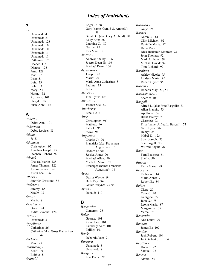#### *Index of Individuals*

#### **?**

*? -* Unnamed: 4 Unnamed: 83 Unnamed: 128 Unnamed: 10 Unnamed: 10 Unnamed: 11 Unnamed: 11 Catherine: 17 Cheryl: 114 Dianna: 125 Jana: 128 Joan: 72 Lisa: 51 Lois: 33 Lola: 33 Mary: 51 Norma: 32 Rox Ann: 101 Sheryl: 109 Susie Ann: 116

## **A**

*Achell -* Debra Ann: 101 *Ackerman -* Debra Louise: 85 *Adams -* ?: 31 *Adamson -* Christopher: 97 Jonathan Joseph: 97 Stephen Richard: 97 *Adcock -* Chelsea Marie: 125 James Thomas: 125 Joshua James: 126 Justin Lee: 126 *Albers -* Jennifer Christine: 88 *Anderson -* Jeremy: 85 Mable: 16 *Anna -* Maria: 8 *Anschutz -* Gary: 124 Judith Yvonne: 124 *Anton -* Unnamed: 5 *Appelhans -* Catherine: 26 Catherine (aka: Gross Katharina): 42 *Archer -* Max: 28 *Armstrong -* Arlin: 39 Bobby: 51 *Arnhold -*

Edgar J.: 38 Gary (name: Gerald G. Arnhold): 88 Gerald G. (aka: Gary Arnhold): 88 Kelly Ann: 88 Lauraine C.: 87 Norine: 82 Rita Mae: 38 *Arwine -* Andrew Shelby: 106 Joseph Dean II: 106 Michael Dean: 106 *Asselborn -* Joseph: 20 Maria: 20 Maria Anna Catharina: 8 Paulina: 13 Peter: 8 *Atencio -* Tina Lynn: 126 *Atkinson -* Jarolyn Sue: 52 *Atterberry -* Ethel L.: 61 *Auer -* Christopher: 96 Mathew: 96 Patrick: 96 Steve: 96 *Augustine -* Charles J.: 90 Franziska (aka: Proucipea Augustine): 16 Isadore J.: 90 Jessica Anne: 90 Michael Allen: 90 Michelle Marie: 90 Proucipea (name: Franziska Augustine): 16 *Ayers -* Darrin Wayne: 94 Derk Ray: 94 Gerald Wayne: 93, 94 *Ayres -* Donald: 110

#### **B**

*Backerdite -* Cameron: 25 *Baker -* George: 101 Kevin Lee: 101 Kimberly Ann: 101 Phillip: 101 *Banks -* Deborah Jean: 91 *Barbara -* Unnamed: 8 Unnamed: 8 *Barger -* Lori Diane: 93

*Barnard -* Amy: 89 *Barnes -* Aaron C.: 61 Clint Michael: 92 Danielle Marie: 92 Della Marie: 61 Dick Benjamin Monroe: 92 John Thomas: 92 Mark Anthony: 92 Michael David: 92 Tom Richard: 92 *Barnhart -* Ashley Nicole: 95 Lindsey Marie: 95 Robert Clyde: 95 *Barrett -* Roberta May: 50, 51 *Bartholomew -* Sherrie: 103 *Basgall -* Alfred L. (aka: Fritz Basgall): 73 Allan Francis: 73 Apollonia: 38 Brent Jeremy: 73 Clarence: 73 Fritz (name: Alfred L. Basgall): 73 Gerri Lynn: 96 Henry: 28 Mabel E.: 123 Scott Joseph: 73 Sue Basgall: 73 Wilfred Edgar: 96 *Bass -* Fern Beatrice: 61 Shelly: 90 *Bassett -* Kelly Marie: 98 *Becker -* Catharine: 14 Maria Anna: 9 Robert E.: 84 *Befort -* Clara: 20 Conrad: 20 Georgine: 77 John G.: 78 Leona Marie: 87 Margaretha: 37 Verna: 78 *Benavides -* Ana Laura: 70 *Bennett -* James E.: 107 *Bentley -* Jack Robert: 104 Jack Robert , Jr.: 104 *Beottler -* Donald: 72 Samuel: 72 *Berens -* Alvera: 50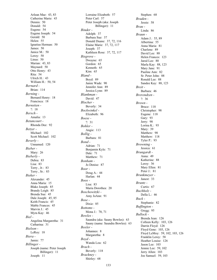Arlean Mae: 43, 83 Catherine Marie: 43 Dennis: 50 Donald: 54 Eugene: 54 Eugene Joseph: 54 Gerald: 50 Helen: 55 Ignatius Herman: 50 James: 50 Janice M.: 50 Leroy: 50 Linus: 50 Marian: 43, 83 Maynard: 50 Otto Henry: 43 Rita: 54 Ulrich H.: 43 William H.: 50, 54 *Bernard -* Brian: 114 *Berning -* Bernard Henry: 18 Francisca: 18 *Bernstien -* ?: 18 *Bersch -* Amalia: 13 *Betancourt -* Rhonda Dee: 92 *Betzer -* Michael: 102 Scott Michael: 102 *Beverly -* Unnamed: 120 *Bieber -* Mary: 26 *Bieberly -* Debra: 83 Lisa: 83 Terry , Jr.: 83 Terry , Sr.: 83 *Bieker -* Alexander: 45 Anna Maria: 15 Blake Joseph: 85 Brandy Leigh: 85 Brenda Sue: 45 Dale Joseph: 45, 85 Keith Francis: 45 Mable Frances: 45 Marvin J.: 45 Myra Kay: 46 *Biel -* Angelina Margaretha: 31 Catharina: 31 *Bielson -* LeRoy: 18 *Biera -* Jamie: 77 *Billinger -* Joseph (name: Peter Joseph Billinger): 11 Joseph: 11

Lorraine Elizabeth: 57 Peter Carl: 57 Peter Joseph (aka: Joseph Billinger): 11 *Binder -* Adolph: 37 Barbara Sue: 37 Donald Duane: 37, 72, 116 Elaine Marie: 37, 72, 117 Joseph: 37 Kathleen Rose: 37, 72, 117 *Bisgrove -* Dwayne: 65 Gordon: 65 Kenneth: 65 Kim: 65 *Bland -* Boyd: 89 Jamie Wade: 90 Jennifer Ann: 89 Jessica Lynn: 89 *Blankman -* David: 47 *Blocher -* Beverly: 34 *Bockwinkel -* Elizabeth: 96 *Boese -* ?: 31 *Bohler -* Angie: 113 *Bollig -* Barbara: 81 *Bond -* Adrian: 71 Benjamin Kyle: 71 Dale: 71 Matthew: 71 *Bonham -* Jo Denise: 87 *Boor -* Doug A.: 44 Harlan: 44 *Boos -* Lisa: 83 Maria Dorothea: 20 *Boschowitzki -* Amy JoAnn: 91 *Bose -* Dixie: 85 *Bottoms -* Mona J.: 70, 71 *Bowles -* Saundra (aka: Sauny Bowles): 63 Sauny (name: Saundra Bowles): 63 *Boxler -* Johannes: 8 Margaretha: 8 *Boyd -* Wanda Lou: 62 *Brach -* Beverly: 118 *Brackney -* Shirley: 68

Stephen: 68 *Braden -* Jessie: 58 *Brau -* Linda: 86 *Braun -* Adam J.: 55, 89 Albertina: 55 Anna Maria: 81 Charlene: 89 David Lee: 88 Helen Frances: 123 Jared Lee: 88 Marla Kay: 88, 123 Mary Jane: 91 Pauline Ann: 82 Sr. Peter John: 88 Ronald Lee: 88 Sandee Kay: 88, 123 *Breit -* Barbara: 46 *Brerendzen -* ?: 36 *Brown -* Bruce: 118 Christopher: 98 Eugene: 118 Gary: 93 Jerry: 98 Lorina K.: 93 Mary: 39 Matthew: 98 Matthew: 118 Tyler P.: 93 *Browning -* Jessica: 61 *Brungardt -* Anna: 49 Katherine: 88 Leroy: 36 Mary Ellen: 81 Peter J.: 81 *Brunkmeyer -* Janest: 33 *Bruntz -* Curtis: 67 *Buchholz -* Della L.: 46 *Buck -* Stephanie: 82 *Buffington -* Gregg: 95 *Bullock -* Brenda Jean: 126 Colleen Kelly: 103, 126 Darrin Floyd: 126 Floyd Gene: 103, 126 Floyd LeMoy: 59, 102, 103, 126 Franklin Leroy: 58 Heather Louise: 126 Jason Lee: 103 Jennie Lee: 59, 102 Jerry Allen: 103 Joe Samuel: 59, 103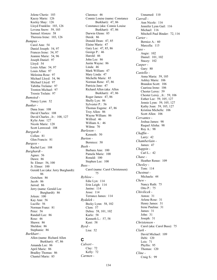Jolene Cherie: 103 Kacey Marie: 126 Keeley Shay: 126 Lloyd Franklin: 103, 126 Lovena Snow: 59, 103 Samuel Alonzo: 58 Theresia Irene: 103, 126 *Bumpus -* Carol Ann: 54 Daniel Joseph: 54, 97 Frances Irene: 54, 97 Jeannie Marie: 54, 96 Joseph Daniel: 97 Lloyd: 54 Louis Allan: 54, 97 Louis Allan: 97 Melesina Rose: 97 Michael Lloyd: 54, 96 Michael Lloyd: 97 Tabitha Trelaine: 97 Trenton Michael: 97 Tressie Trelain: 97 *Bumsted -* Nancy Lynn: 52 *Bunker -* Dana Jean: 108 David Charles: 108 David Charles , Jr.: 108, 127 Kylie Ann: 127 Nicole Marie: 128 Scott Lenwood: 108 *Burgardt -* Collen: 81 Glen Francis: 81 *Burgess -* Rachel Lee: 108 *Burghardt -* Agnes: 56 Dawn: 86 Sr. Elmer: 56, 100 Jr. Elmer: 100 Gerald Lee (aka: Jerry Burghardt): 86 Gretchen: 86 Jacob: 86 Jarrod: 86 Jerry (name: Gerald Lee Burghardt): 86 Joleen: 100 Kay Ann: 56 Lucille: 56 Norman Franz: 81 Peter: 56 Randall Lee: 86 Rose: 46 Shawn: 86 Sheldon: 86 Stephanie: 86 *Burkhart -* Allen (name: Richard Allen Burkhart): 47, 86 Amanda Lee: 86 April Marie: 86 Bradley Thomas: 86 Chantel Marie: 85

Clarence: 46 Connie Louise (name: Constance Burkhart): 47, 86 Constance (aka: Connie Louise Burkhart): 47, 86 Darwin Glenn: 85 Derek: 86 Donald Dean: 47, 85 Elaine Marie: 47 Gary Lee: 47, 85, 86 George P.: 46 Harold: 46 John Lee: 86 Justin Wayne: 86 Linda: 46 Mark William: 47 Mary Linda: 47 Michelle Marie: 85 Norman Rene: 47, 86 Patricia Jane: 47 Richard Allen (aka: Allen Burkhart): 47, 86 Roger James: 47, 86 Shelly Lyn: 86 Sylvester P.: 56 Thomas Eugene: 47, 86 Troy Allen: 86 Wayne William: 86 Wilfred: 46 William A.: 46 Wilma: 70 *Burleson -* Kenneth: 50 *Burton -* Berniece: 50 *Bush -* Barbara Ann: 100 Pamela Marie: 100 Ronald: 100 Stephen Lee: 100 *Buss -* Carol (name: Carol Christensen): 75 *Byblow -* Edie Lyn: 114 Erin Leigh: 114 Janine: 114 Jesse: 114 Terrance James: 114 *Bydalek -* Becky Lynn: 58, 102 Clem: 57 Debra: 58, 101, 102 Karlo: 58 Kenneth L.: 57, 58 Kent: 58 *Byrd -* Lisa: 52

#### **C**

*Calvert -* Clay: 72 Kelly: 72 *Carmen -*

Unnamed: 110 *Carroll -* Ann Nicole: 116 Jennifer Lynn Gail: 116 Michael: 116 Mitchell Paul Binder: 72, 116 *Carter -* Bernice A.: 60 Marcella: 115 *Case -* Angie: 102 Daniel: 101, 102 Stacey: 102 *Casper -* Gary: 80 *Castello -* Anna Maria: 59, 105 Ashley Marie: 106 Brandon Scott: 106 Caarissa Irene: 106 Chester Leroy: 59 Chester Leroy , Jr.: 59, 106 Esther Lee: 59, 105, 127 Jennie Lynn: 59, 105, 127 Kathy Joan: 59, 105, 127 Kristina Michelle: 106 Scott Allen: 106 *Cervantes -* Joshua James: 98 Raquel Alisha: 98 Roy A.: 98 *Chaffin -* Larry: 42 *Chamberlain -* James: 47 *Chappin -* Carl L.: 42 *Chase -* Heather Renee: 109 *Chesley -* Tom: 114 *Chestnut -* Michaela: 44 *Chew -* Nancy Ruth: 75 Otto P.: 75 *Chivilicek -* Anton: 31 Arlene Rose: 31 Henry James: 31 Irene Paulina: 31 James: 31 John: 31 Joseph: 31 *Christensen -* Carol (aka: Carol Buss): 75 *Clark -* David Michael: 109 Debi: 120 Lois: 71 Phyllis: 95 Thomas: 120 *Cline -* Craig S.: 99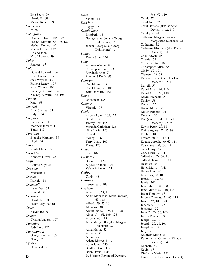Eric Scott: 99 Harold F.: 99 Megan Renee: 99 *Cochran -* ?: 36 *Cohagan -* Crystal Rebkah: 106, 127 Herbert Martin: 60, 106, 127 Herbert Roland: 60 Michael Scott: 127 Roland John: 106 Virgil Lavern: 59 *Coker -* Frances: 67 *Cole -* Donald Edward: 106 Erica Louise: 107 Jack Wayne: 107 Pamela Renee: 107 Ryan Wayne: 107 Zachery Edward: 106 Zachery Edward , Jr.: 106 *Comeau -* Matt: 68 *Connell -* Alan Charles: 65 Ralph: 64 *Cooper -* Lauren Lee: 113 Matthew Jordan: 113 Tony: 113 *Corrigan -* Blanche Margaret: 34 Hugh: 34 *Cox -* Krista Elaine: 86 *Cozadd -* Kenneth Oliver: 28 *Craft -* Connie Kay: 85 *Creamer -* Michael: 47 *Creson -* Patricia: 50 *Cromwell -* Larry Dee: 52 Ronald: 52 *Croope -* Harold R.: 60 Helen May: 60, 61 *Cruce -* Steven R.: 78 *Crumm -* Cristina Lavern: 107 *Cummins -* Jody Lea: 122 *Cunningham -* Gladys Nadine: 103 Nancy: 79 *Cyndi -* Unnamed: 51

*Dack -* Sabina: 11 *Daddow -* Peggy: 45 *Dahlheimer -* Elisabeth: 15 Georg (name: Johann Georg Dahlheimer): 6 Johann Georg (aka: Georg Dahlheimer): 6 *Dailey -* Teresa Jane: 120 *Dale -* Andrew Wayne: 93 Christopher Ryan: 93 Elizabeth Ann: 93 Raymond Keith: 93 *Damron -* Carl Eldon: 105 Carl Eldon , Jr.: 105 Jennifer Marie: 105 *Darin -* Unnamed: 128 *Dauber -* Virginia: 77 *Davis -* Angely Lynn: 105, 127 Gerald: 38 Jeremy Lee: 105 Miranda Christine: 126 Nina Marie: 105 Ronald: 110 Stoney: 126 Terry Lynn: 105 Tyrus: 127 *Dawn -* Lisa: 102 *De Witt -* Brian Lee: 124 Kaylee Brianne: 124 Kelsie Brianne: 125 *DeBoer -* Cindy: 48 *DeBonsi -* Renee Jean: 108 *Dechant -* Adam: 30, 63, 113 Adam Mark (aka: Mark Dechant): 63, 113 Alfred: 29, 57, 101 Aloysius: 30 Alvin: 30, 62, 109, 110, 128 Alvin , Jr.: 62, 109, 128 Angela: 63, 113 Anna Margaretha (aka: Margareta Dechant): 22 Anna Marie: 32 Annetta: 57 Annie: 29 Arlene Marry: 41, 81 Autin Jared: 113 Bradley Gene: 112 Brian David: 100

Jr.): 62, 110 Carol: 57 Carol Ann: 57 Carol Darlene (aka: Darlene Dechant): 62, 110 Carol Sue: 41 Catharina Margaretha (aka: Margaretha Dechant): 21 Catherine: 32 Catherine Elizabeth (aka: Katie Dechant): 84 Chad Edwin: 58 Cherrie: 58 Christina: 62, 110 Christopher Allen: 58 Cindy: 57, 101 Clement: 29, 58 Darlene (name: Carol Darlene Dechant): 62, 110 Darrell: 57 David Allen: 62, 110 David Allen: 56, 100 David Michael: 55 Denise: 58 Donald: 62 Donna Marie: 58 Dustin Robert: 101 Dwane: 110 Earl (name: Rudolph Earl Dechant): 27, 55 Edwin Peter: 29, 58 Elaine Agnes: 27, 55, 98 Emily: 110 Emma: 30, 63, 112, 113 Eugene Joseph: 30, 62, 111 Eva Marie: 30, 63, 112 Gary Leroy: 57 Gary Mark: 63, 111 Gilbert A.: 29, 57, 101 Gilbert Duane: 57, 101 Heather: 100 Helen Mary: 47, 48 Henry John: 47 Irene: 29, 58, 102 James A.: 29, 58 Jamie: 101 Janet Marie: 56, 100 Janet Marie: 62, 110, 128 Jason Timothy: 58 Jerome Thomas: 31, 63, 113 Joann: 62, 109, 128 Johann A. , Jr.: 27 Johannes: 32 John C.: 29, 56, 100 Joleen Renea: 109 Joseph: 29, 30 Joseph: 29, 56, 101 Josephine: 29 Judy: 57, 101 Kathleen Marie: 57, 101 Katie (name: Catherine Elizabeth Dechant): 84 Kenneth: 52 Kevin: 58 Kimberly Marie: 101

Larry (name: Lawrence Dechant):

Bud (name: Raymond Dechant,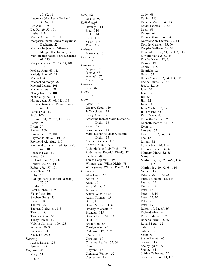30, 62, 111 Lawrence (aka: Larry Dechant): 30, 62, 111 Lee Ann: 109 Leo P.: 29, 57, 101 Leslie: 110 Marcie Arlene: 62, 111 Margareta (name: Anna Margaretha Dechant): 22 Margaretha (name: Catharina Margaretha Dechant): 21 Mark (name: Adam Mark Dechant): 63, 113 Mary Catherine: 29, 57, 58, 101, 102 Melissa Ann: 63, 113 Melody Ann: 62, 111 Michael: 41 Michael Anthony: 58 Michael Duane: 101 Michelle Leigh: 58 Nancy Jane: 57, 101 Nichole Lynne: 111 Norma Jean: 31, 63, 113, 114 Pamela Diane (aka: Pamela Piece): 62, 111 Pamela Sue: 62 Paul: 100 Pauline: 30, 62, 110, 111, 128 Peter: 29 Peter: 27 Rachel: 100 Randal Lee: 57, 101 Raymond: 30, 62, 110, 128 Raymond Aloysius: 110 Raymond , Jr. (aka: Bud Dechant): 62, 110 Rebecca Leah: 62 Renea: 57 Richard John: 56, 100 Robert: 29, 57, 101 Robert , Jr.: 57, 101 Rory Gene: 63 Ruby: 57 Rudolph Earl (aka: Earl Dechant): 27, 55 Sandra: 58 Scott Michael: 109 Shaun Lee: 101 Stephen Graig: 55 Steven: 58 Theresa: 27 Theresa Claire: 63, 113 Thomas: 58 Thomas Brent: 55 Tobey Coleen: 62 Valerie Christine: 109, 128 William: 30, 31 Zachaeus: 41 Zacheus: 29, 57 *Deering -* Alyssa Renee: 125 Jeremy: 125 *Degenhardt -* Mary: 63 Regina: 73

*Delgado -* Giselle: 97 *Dellabough -* Beverly: 114 Fred: 114 Rick: 114 Scott: 114 Susan: 114 Traci: 114 *Delwa -* Marianna: 15 *Demers -* ?: 32 *Desalvo -* Angelo: 67 Danny: 67 Michael: 67 Michelle: 67 *Dewey -* Ken: 96 *Dick -* ?: 87 *Diehl -* Glenn: 78 Gregory Scott: 119 Jeffery Scott: 119 Kasey Ann: 119 Katharina (name: Maria Katharine Diehl): 35 Kevin: 78 Lucas James: 119 Maria Katharine (aka: Katharina Diehl): 35 Michael Spencer: 119 Robert E.: 78, 119 Rudolph (aka: Rudy Diehl): 78 Rudy (name: Rudolph Diehl): 78 Stephen: 78, 119 Tomas Benjamin: 119 William (aka: Willis Diehl): 78 Willis (name: William Diehl): 78 *Dillman -* Alan James: 65 Albert: 20 Anna: 19 Anna Maria: 6 Anthony: 19 Arthur John: 32, 64 Austin Thomas: 65 Bill: 32 Blaine Michael: 114 Bradley Michael: 64 Branden: 115 Brenda Leah: 64, 114 Brett: 65 Brian John: 65 Carolyn May: 64 Catharine: 12, 19, 20 Cecilia: 11 Christian: 19 Christina Agatha: 32, 64 Clara: 19 Clayton: 115 Clemence Warner: 32 Clementine: 19

Cody: 65 Daniel: 115 Danielle Marie: 64, 114 David Thomas: 32, 65 Dean: 65 Denise: 64 Dennis Blaine: 64, 114 Dorothy Ann Theresa: 32, 64 Dorothy Carmen: 33, 66 Douglas William: 32, 65 Edmund: 19, 32, 64, 65, 114, 115 Edward Stanley: 32, 65 Elizabeth Ann: 32, 65 Florian: 19 Gabriel: 115 Heinrich: 12 Helen: 32 Henry Martin: 32, 64, 114, 115 Imelda Emma: 32, 66 Jacob: 12, 19 Jane: 64 Jean: 32 Jill: 64 Jim: 32 John: 19 John Martin: 32, 66 Julie Marie: 65 Kelsi Dawn: 65 Kenneth Charles: 32 Kenneth Martin: 64, 115 Kyle: 114 Lauretta: 32 Lawrence: 32, 64, 114 Lee: 65 Lillian: 32 Loretta Jean: 64, 114 Lorraine Esther: 32, 66 Margaret Mary: 32, 65 Maria: 19 Martin: 12, 19, 32, 64-66, 114, 115 Martin , Jr.: 19, 32, 64, 114 Nicky: 115 Patricia Marie: 32, 66 Patrick Edmund: 64, 115 Paulina: 19 Pauline: 19 Peter: 12 Peter: 12, 19 Peter: 12, 20 Peter: 20 Peter: 19 Ralph: 19, 32, 65, 66 Richard Alan: 64 Robert Edmund: 32 Roberta Irene: 32, 66 Ronald Peter: 32 Sabina: 12 Sabina: 19 Sean: 65 Shane Everett: 66 Shawn: 115 Shelby Lynn: 65 Shelley: 64 Shirley Catherine: 32 Susan Jane: 64, 114, 115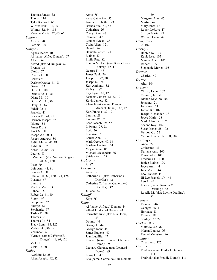Thomas James: 32 Travis: 114 Tyler Raphael: 66 Wilfred Irvin: 32, 65 Wilma: 32, 64, 114 Yvonne Marie: 32, 65, 66 *Dillon -* Austin: 90 Patricia: 90 *Dinges -* Agnes Marie: 40 Al (name: Alfred Dinges): 67 Albert: 67 Alfred (aka: Al Dinges): 67 Brenda: 31 Candi: 67 Charles F.: 80 Christian: 31 Darlene Marie: 41, 81 Darren: 32 David L.: 80 Dennis F.: 41, 81 Diane M.: 80 Doris M.: 41, 80 Doug D.: 67 Fidelis J.: 41 Francis: 41 Francis E.: 41, 81 Herman Joseph: 87 Isidore: 84 James D.: 81 Janet M.: 80 Joseph A.: 40, 41 Joseph Andrew: 80 Judith Marie: 41, 81 Judith R.: 87 Karen T.: 80, 120 Laurie: 81 LaVerne F. (aka: Vernon Dinges): 41, 80, 120 Lisa: 80 Lois Ann: 41, 81 Lorelei A.: 80 Luella: 41, 80, 120, 121, 128 Lynetta: 67 Lynn: 81 Martina Marie: 41 Randall: 80 Robert J.: 41, 80 Roger: 80 Seraphina: 62 Sherry: 32 Stephanie: 67 Tashia R.: 84 Thomas L.: 31 Thomas L.: 84 Tracy Lynn: 84, 122 Verlee: 41, 80, 121 Verlinda: 32 Vernon (name: LaVerne F. Dinges): 41, 80, 120 Vicki Jo: 81 Vicki L.: 80 *Dinkel -* Aegidius J.: 28 Allen Joseph: 42, 82

Amy: 76 Anna Catherine: 57 Arnita Elizabeth: 123 Brenda Sue: 42, 82 Catharina: 26 Cheryl Ann: 47 Clarence: 42 Clement Mead: 23 Craig Allen: 121 Daniel: 76 Danielle Rene: 121 Elaine: 42 Emily Rae: 82 Francis Michael (aka: Klena Frenk Dinkel): 42, 47 George F.: 47 James Paul: 76 Joseph J.: 27, 28 Joseph S.: 76 Karl Anthony: 82 Kathryn: 82 Kay Lynn: 82, 121 Kenneth James: 42, 82, 121 Kevin James: 82 Klena Frenk (name: Francis Michael Dinkel): 42, 47 Kurt Francis: 82, 121 Laurita: 28 Laverne W.: 28 Leon Joseph: 28, 55 Lidwina: 27, 28 Lori: 76 Lori Ann: 55 Louise Ann: 42 Mark George: 47, 86 Marlene Louise: 124 Megan Rose: 86 Michael Alexander: 86 Shirley Ann: 55 *Disbrow -* ?: 87 *Doerfler -* Anna: 35 Catherine C. (aka: Catherine C. Doerfler): 42 Catherine C. (name: Catherine C. Doerfler): 42 Juliana: 57 *Dolloff -* Kay: 76 *Dome -* Al (name: Alfred J. Dome): 44 Alfred J. (aka: Al Dome): 44 Carmalita June (aka: Lita Dome): 89 Donna: 44 George J.: 44 George John: 44 James Eugene: 47 Joan Lucillle: 47 Leonard (name: Leonard Clarence Dome): 89 Leonard Clarence (aka: Leonard Dome): 89 Leroy C.: 47 Lita (name: Carmalita June Dome):

89 Margaret Ann: 47 Martin: 47 Mary Jane: 47 Robert LeRoy: 47 Sharon Marie: 47 William Dean: 47 *Doneyson -* ?: 102 *Dorsey -* Bobbie Jo: 105 Kayla Lee: 105 Marcus Allen: 105 Robert: 105 Stephanie Merie: 105 *Downes -* Charles: 47 *Downs -* Alta: 104 *Dreher -* Christy Lynn: 102 Conrad , Jr.: 58 Dianne Kay: 58, 102 Johanna: 21 Johannes: 21 Jordan R.: 102 Joseph Alexander: 38 Joyce Marie: 58 Mark Alan: 58, 102 Shanna Kay: 102 Susan Irene: 58, 102 Vernon C.: 58 Vernon Duane , Jr.: 58, 102 *Dreiling -* Anna: 27 Catherine: 45 Darlene Ann: 100 Frank John: 100 Frederick F.: 100 Janice Elaine: 100 Joyce Ann: 44 June Marie: 44 Leo Francis: 44 III Leo Francis , Jr.: 44 Leo J.: 44 Lucille (name: Rosella M. Dreiling): 82 Rosella M. (aka: Lucille Dreiling): 82 *Droste -* Florence: 46 George: 36, 37 Herman: 18 Roman: 18 Shirley: 37, 72 *Duckworth -* Matthew A.: 96 Megan Louise: 96 Rachel Melesina: 96 *Dunlap -* Tina Lynn: 127 *Duran -* Freddie (name: Fredrick Duran): 111 Fredrick (aka: Freddie Duran): 111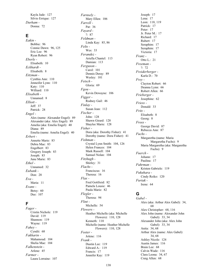Kayla Jade: 127 Silvio Errique: 127 *Durham -* Donna: 72

# **E**

*Eakin -* Bobbie: 96 Connie Dawn: 96, 125 Eric Lee: 96 Ryan Robert: 96 *Eberle -* Elisabeth: 10 *Eckhardt -* Elisabeth: 8 *Eitzman -* Cynthia Ann: 110 Jenneifer Lynn: 110 Katy: 110 Williard: 110 *Elisabeth -* Unnamed: 8 *Elliott -* Jeff: 37 Patrick: 28 *Engel -* Alex (name: Alexander Engel): 89 Alexander (aka: Alex Engel): 89 Amelia (aka: Emelia Engel): 40 Diana: 89 Emelia (name: Amelia Engel): 40 *Erbert -* Annette Marie: 83 Debra Mae: 83 Engelbert: 83 Gregory Joseph: 83 Joseph: 83 June Marie: 83 *Ethel -* Unnamed: 32 *Eubank -* Don: 28 *Eva -* Maria: 11 *Evans -* Betsy: 60 Dee: 107

#### **F**

*Fager -* Cristin Nichole: 119 David: 119 Shannon: 119 Wayne: 119 *Fahey -* Cyndii: 68 *Fakharin -* Mahamoud: 104 Shelia Mae: 104 *Falkenstein -* Arlene: 45 *Farmer -* Laura Lorraine: 107

*Farnsely -* Mary Ellen: 106 *Farrell -* Pat: 36 *Fayard -* ?: 87 *Feldman -* Linda Kay: 85, 86 *Felts -* Wes: 33 *Ferandez -* Ariella Chantel: 113 Damian: 113 *Ferguson -* Carol: 101 Dennis Deray: 89 Wesley: 101 *Fetsch -* Gloria: 69 *Fgou -* Kevin Dewayne: 106 *Figger -* Rodney Gail: 46 *Finlay -* Susan Jean: 112 *Fischer -* John: 128 Shawn Girard: 128 Shaylee Marie: 128 *Fisher -* Dora (aka: Dorothy Fisher): 41 Dorothy (name: Dora Fisher): 41 *Fishman -* Crystal Lynn Smith: 104, 126 Helen Frances: 104 Mark Russell: 104 Samuel Nolan: 104 *Fitzhugh -* Shirley: 31 *Flachs -* Franciscus: 16 Theresa: 16 *Flax -* Fred Gottfreid: 82 Pamela Lousie: 46 Paula Marie: 82 *Flegler -* Theresa: 94 *Flint -* Michelle: 54 *Flowers -* Heather Michelle (aka: Michelle Flowers): 110, 128 Kenneth: 110 Michelle (name: Heather Michelle Flowers): 110, 128 *Foster -* Jolene: 116 *Frank -* Dustin Lee: 119 Edward A.: 119

Joseph: 17 Lena: 17 Leon: 118, 119 Patrick: 17 Peter: 17 Jr. Peter M.: 17 Richard: 17 Rubert: 17 Seraphim: 17 Seraphim: 17 Victoria: 17 *Franz -* Otto L.: 21 *Freeman -* ?: 72 *Freiderberger -* Karla D.: 70 *Frey -* Clayton Robert: 66 Deanna Lynn: 66 Robert Allen: 66 *Frieberger -* Josephine: 62 *Friess -* Donald: 33 *Fritz -* Elisabeth: 8 Georg: 8 *Fross -* George David: 87 Rebecca Ann: 87 *Fuchs -* Margaretha (name: Maria Margaretha Fuchs): 9 Maria Margaretha (aka: Margaretha Fuchs): 9 *Fuerch -* Johann: 17 Paulina: 17 *Fuhrman -* Kristen Gabriele: 119 *Fukuhara -* Cindy Reiko: 120 *Furtak -* Irene: 64

#### **G**

*Gabel -* Alex (aka: Arthur Alex Gabel): 34, 68 Alex Christopher: 68, 116 Alex John (name: Alexander John Gabel): 33, 34 Alexander John (aka: Alex John Gabel): 33, 34 Anita: 34, 68 Arthur Alex (name: Alex Gabel): 34, 68 Ashley Nicole: 124 Austin James: 116 Brain Lee: 68 Calvin Wade: 116 Clara Leona: 34, 67 Craig Allen: 68

Francis: 17 Jennifer Kay: 119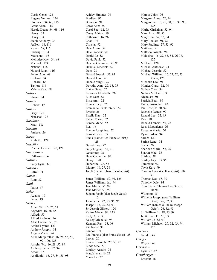Curtis Gene: 124 Eugene Vernon: 124 Florence: 34, 68, 115 Grant Allan: 116 Harold Dean: 34, 68, 116 Henry: 34 Henry: 34 Jacob Anthony: 34 Jeffrey: 68, 116 Kevin: 68, 116 Ludwig J.: 34 Madison: 116 Mellodee Kay: 34, 68 Michael: 124 Natisha: 116 Noland Ryan: 116 Penny Ann: 68 Richard: 34 Richard: 68 Taylor: 116 Valerie Kay: 68 *Gallo -* Shane: 84 *Gann -* Robert: 17 *Gano -* Gary: 128 Natasha: 128 *Gardiner -* May: 115 *Garnatt -* Janiece: 26 *Garza -* Ruth M.: 128 *Gaskill -* Cherise Henrie: 120, 121 *Gassmann -* Catharine: 14 *Gatlin -* Sally Lynn: 66 *Gatson -* Carol: 71 *Gatzki -* Ron: 32 *Gaul -* Patty: 47 *Geier -* Agatha: 19 Peter: 19 *Geist -* Adam W.: 15, 26, 51 Aegedia: 16, 28, 55 Alfred: 50 Alfred Andreas: 26 Alisa Louise: 53, 95 Amber Lynne: 120 Andrew Joseph: 94 Angela Marie: 94 Anna Margaretha: 16, 28, 55, 56, 99, 100, 125 Anselm W.: 16, 28, 55, 99 Anthony Peter: 52, 94 Anton: 15 Apollonia: 16, 27, 54, 55, 98

Ashley Simone: 94 Bradley: 92 Brandon: 91 Carol Ann: 55 Carol Sue: 52, 93 Casey Adrian: 99 Catherine: 16, 26 Chad: 92 Christa: 92 Dale Alvin: 52 Dale Francis: 50 Daniel J.: 52 David Paul: 52 Deanne Cammile: 53, 95 Dennis Frederick: 52 Don: 28 Donald Joseph: 52, 94 Donald Leo: 52 Donald Virgil: 27 Dorothy Ann: 27, 53, 95 Elaine Gaye: 52 Eleanora Elizabeth: 26 Ellen Sue: 52 Elsie Ann: 52 Emma Lucy: 52 Emmanuel Paul: 26, 51, 52 Ernest: 26 Estella Kay: 52 Esther Marie: 52 Eunice Mary: 52 Eva: 16 Evelyn Josephine: 52 Forrest Lenn: 53 Frank (name: Leo Francis Geist): 28 Garrett Lee: 92 Gary Eugene: 50, 91 Geraldine: 28 Hana Catherine: 94 Henry: 120 Hubertine: 26, 52 Isidore: 16, 27, 28 Jacob (name: Johann Jacob Geist): 15 James William: 52, 94, 125 James William , Jr.: 94 Jane Maria: 55, 99 Jane Marie: 50, 92 Johann Jacob (aka: Jacob Geist): 15 John Peter: 27, 53, 95, 96 Joseph: 15, 26, 52, 93 Sr. Joseph Gilbert: 120 Katina Marie: 94, 125 Kelly Ann: 91 Kelsey Michelle: 93 Kenneth Ray: 53, 96 Kimberly: 92 Landon: 91 Leo Francis (aka: Frank Geist): 28 Leona: 26 Leonard Joseph: 27, 53, 95 Linda Mae: 50 Lindsay Austin: 94 Magdalena: 16, 23 Marcella: 27

Marcus John: 96 Margaret Anne: 52, 94 Margaretha: 15, 26, 50, 51, 92, 93, 125 Marita Christina: 52, 94 Mary Ann: 28, 55 Mary Lou: 52, 93, 94 Mary Louise: 50, 92 Mary Pauline: 27, 53, 95 Matthew: 91 Matthew Joseph: 94 Melosina: 16, 27, 53, 54, 96-98, 125 Michael: 120 Michael Anthony: 94 Michael Joseph: 52 Michael William: 16, 27, 52, 53, 93-96, 125 Michelle Lea: 91 Monica Clara: 52, 94 Nathan Cole: 94 Nathan Michael: 99 Nicholas: 50 Patricia Beth: 96 Paul Christopher: 93 Paul Joseph: 50, 92 Rachelle Renee: 99 Randal Lee: 52, 93 Rita: 28 Ronald Francis: 50, 92 Rosa Magdalena: 26 Roseann Marie: 50 Ryan Jordan: 94 Sarah: 120 Sarina Rene: 94 Shane: 92 Sharlene Marie: 53, 96 Sharon Mae: 53 Shirley: 28 Shirley Kay: 53, 95 Tammara: 92 Tayla Kay: 99 Thomas Lee (aka: Tom Geist): 50, **Q1** Thomas Lee: 55, 99 Timothy Dale: 93 Tom (name: Thomas Lee Geist): 50, 91 Wilhelm: 15 Wilhelm Joseph (aka: William Geist): 26, 52, 93 William (name: Wilhelm Joseph Geist): 26, 52, 93 Sr. William F.: 28, 55, 99 Jr. William F.: 55, 99 William J.: 52, 93 William Michael: 27, 52, 93, 94, 125 *Gerber -* Gerald: 47 *Gerig -* Wayne: 67 *German -* Lynn R.: 47 *Gerstberger -* Loretta: 18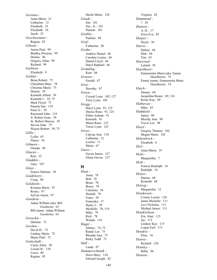*Gerstner -* Anna Maria: 21 Catharine: 12 Elisabeth: 25 Elizabeth: 34 Jacob: 25 *Geschwentner -* Regina: 83 *Gibson -* Aaron Paul: 99 Bradley Dwayne: 99 Dennis: 46 Gregory Allan: 99 Richard: 99 *Gieblein -* Elisabeth: 9 *Giebler -* Brian Robert: 75 Cherubina Mary: 78 Christine Marie: 75 Dennis: 39 Kenneth Alfred: 39 Kenneth J.: 39, 75 Mark Floyd: 75 Pamela Sue: 119 Peter G.: 39 Raymond John: 119 Jr. Robert Gene: 39 Sr. Robert Marcus: 39 Steven John: 75 Wayne Robert: 39, 75 *Gillis -* Lydia: 65 Nancy: 54 *Gilmore -* Glenda: 96 *Glacier -* Ron: 32 *Gladden -* Gary: 107 *Glass -* Eunice Darlene: 54 *Goldsberry -* Craig: 90 *Goldstein -* Kristina Marie: 97 Rocky: 97 Sylvan Aaron: 97 *Goodwin -* Adam William (aka: Bill Goodwin): 63 Bill (name: Adam William Goodwin): 63 *Gorackie -* Darlene: 72 *Gordon -* David H.: 72 Lindsay Marie: 72 Shane Paul: 72 *Gottschalk -* Curtis Allen: 50 Lorene B.: 118 Lucia: 40 Regina: 45

Sheila Marie: 128 *Goudy -* Jim: 101 Jim , Jr.: 101 Pamela: 101 *Grabbe -* Paulina: 49 *Graf -* Catharina: 20 *Grahn -* Andrew Daniel: 66 Caroline Louise: 66 Daniel Lloyd: 66 Daryl Raphael: 66 *Gramling -* Kurt: 68 *Grasser -* Gerald: 47 *Gray -* Dorothy: 97 *Green -* Crystal Lynn: 105, 127 Terry Lynn: 105 *Gregg -* Daryl Lynn: 91, 125 Denise Rene: 91, 125 Eldon Ardean: 91 Kenneth: 91 Matea Rene: 125 Torrie Lynn: 125 *Gross -* Calysta Ann: 118 Catharina: 12 Lorenz: 11 Maria: 67 *Guess -* Gaven James: 127 Glenn Gaven: 127

#### **H**

*Haas -* Anna: 78 Bob: 78 Brian: 78 Bruce: 78 Celestine: 38 Donald: 78 Franz: 38 Franziska: 17 Henry J.: 78 Michelle: 78, 119 Mike: 78 Rick: 78 Wanda: 116 *Hager -* Johnny: 74, 75 Randy Lee: 75 Rhonda Ann: 75 Ricky Todd: 75 *Hall -* Linda: 97 *Hammerschmidt -* Doris Mary: 124 Edward Joseph: 82

Virginia: 82 *Hammond -* ?: 26 *Hanson -* A. H.:  $17$ Erica Eva: 85 *Harper -* Doyle: 36 *Harris -* Dalton: 64 Dirk: 64 Tim: 63 *Harwood -* Leland: 38 *Haselhorst -* Emmerentia Marie (aka: Emmy Haselhorst): 74 Emmy (name: Emmerentia Marie Haselhorst): 74 *Hatch -* Dennis: 69 Jacquiline Renee: 69, 116 Kristy Kay: 69 *Hatheway -* Mike: 85 *Hathfield -* James: 98 Meoldy Ann: 98 Travis Lee: 98 *Hazel -* Gregory Thomas: 102 Megan Marie: 102 *Hebenbrick -* Elisabeth: 6 *Heil -* Anna Maria: 19 *Heile -* Margaretha: 7 *Heili -* Francis Rudolph: 16 Rudolph: 16 *Heizer -* Darren: 68 Kenneth: 68 *Helwig -* Margaretha: 12 *Henderson -* Connie Louise: 126 Jamie Michelle: 111 Levi Nicholas: 111 Michael James: 111 *Hendrickson -* Eric Alan: 115 Jay: 115 Lindsey Kay: 115 Logan Earl: 115 *Hendrix -* Elsie: 16 *Henrie -* Richard: 120 *Hensley -* Billie: 96 *Henson -*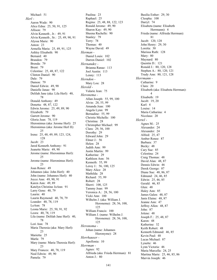Michael: 51 *Herl -* Aaron Wade: 90 Alice Edna: 25, 50, 91, 125 Allison: 79 Alvin Kenneth , Jr.: 49, 91 Alvin Kenneth , Sr.: 25, 49, 90, 91 Alyssa Marie: 90 Anton: 23 Armella Maria: 25, 49, 91, 125 Ashley Elisabeth: 90 Bernard: 40 Brandon: 79 Brenda: 79 Brent: 79 Celestine: 25, 48, 87, 122 Clinton Daniel: 90 Dale: 79 Damon: 79 Daniel Edwin: 49, 90 Danielle Janae: 90 Delilah Jane (aka: Lila Herl): 40, 78 Donald Anthony: 49 Donetta: 48, 87, 122 Edwin Jerome: 25, 49, 89, 90 Elizabeth: 79 Garrett Jerome: 90 Gloria Jean: 78, 119 Hieronimus (aka: Jerome Herl): 25 Hieronimus (aka: Jerome Herl II): 25 Irene: 25, 48, 49, 89, 123, 124, 128 Jacob: 23 Jared Kenneth Anthony: 91 Jeanette Marie: 49, 90 Jerome (name: Hieronimus Herl): 25 Jerome (name: Hieronimus Herl): 25 Joan Renee: 49 Johannes (aka: John Herl): 40 John (name: Johannes Herl): 40 Joyce Ann: 49, 90, 91 Karen Ann: 49, 89 Katelyn Christine JoAnn: 91 Larry Gene: 40, 79 Laurin: 40 Laurin Raymond: 40, 78, 79 Leander: 40, 78, 119 LeAnn: 78 Leona Marie: 25, 50, 91, 92 Leora: 40, 78, 119 Lila (name: Delilah Jane Herl): 40, 78 Lori Ann: 78 Maria Theresia (aka: Mary Herl): 23 Marietta: 25 Marla: 79 Mary (name: Maria Theresia Herl): 23 Mary Frances: 40, 78, 119 Neal Edwin: 49, 90 Pamela: 79

Paulina: 23 Raphael: 25 Regina: 25, 48, 88, 122, 123 Ronald Jerome: 49, 90 Sharon Kay: 49, 90 Sheena Rachelle: 90 Stanley: 79 Terry: 78 Thomas: 40 Wayne David: 49 *Herman -* Daniel Louis: 102 Darren Daniel: 102 *Hernandez -* Brianna Ranae: 113 Joel Austin: 113 Lenny: 113 *Herndon -* Mary Lou: 28 *Herold -* Valarie Jean: 75 *Heronema -* Allan Joseph: 55, 99, 100 Alvin: 28, 55, 99 Amanda Jean: 100 Angela Lynn: 99 Bernadine: 55, 99 Christie Michelle: 100 Christina: 28 Christopher Michael: 99 Clara: 29, 56, 100 Dorothy: 29 Edward John: 29 Elmer J.: 56 Helen: 28 Judith Ann: 99 Justin Martin: 99 Katherine: 29 Kathleen Ann: 56 Kenneth: 55, 99 Leroy J.: 56, 100, 125 Mary Alice: 28 Mathilda: 28 Richard: 55, 99 Robert: 28 Sherri: 100, 125 Tammy Joan: 99 Veronica A.: 28, 56, 100 Vicki Ann: 100 Wilhelm J. (aka: William J. Heronema): 28, 56, 100, 125 William Francis: 100 William J. (name: Wilhelm J. Heronema): 28, 56, 100, 125 *Heronoma -* Johan (name: Johannes Hieronyme): 28 *Herrhauser -* Apollonia: 10 *Herrman -* Agnes: 92 Alfrieda (aka: Frieda Herrman): 81 Anton J.: 80

Basilia Esther: 29, 30 Cleopha: 100 Darryl: 74 Elisabeta (name: Elisabeth Herrmann): 4 Frieda (name: Alfrieda Herrman): 81 Jacob: 120, 128 John Henry: 29, 30 Loretta: 30 Marissa Ruth: 128 Mary: 80 Maynard: 80 Quentin D.: 121 Ronald J.: 80, 120, 128 Stephen A.: 80, 120, 121 Trudy Ann: 80, 121, 128 *Herrmann -* Catharine: 9 Clara: 20 Elisabeth (aka: Elisabeta Herrman): 4 Elisabeth: 19 Jacob: 19, 20 Karl: 4 Louise: 14 Maria Catharina: 4 Nicolaus: 20 *Hertel -* Agnes M.: 25 Alexander: 24 Alexander: 24 Alfred: 25, 47 Amber Renee: 87 Barbara: 37 Becky: 48 Cary Sue: 85 Celestina: 24 Craig Thomas: 48 David Alan: 48, 87 Dennis Edwin: 46 Derek George: 87 Diane Sue: 48, 86, 87 Edmund: 24, 46, 85 Edwin: 25, 46, 85 Gerald: 46, 85 Glen: 48 Haley Ann: 85 James Galen: 48, 87 Janis Elaine: 48, 87 Jeanne Ann: 47 Jeffrey Allen: 48, 87 John: 87 Jolene: 48 Joseph F.: 25, 48, 87 Karen: 48 Katherine: 32 Keith Robert: 48 Kenneth Edmund: 46, 85 Kevin Paul: 48 Lucas Michael: 87 Lynette: 46 Lynn Victoria: 46 Maria Marcella: 24, 25 Martina Marie: 25, 46, 85, 86 Marvin Joseph: 46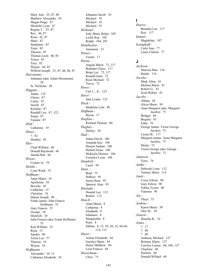Mary Ann: 25, 47, 86 Matthew Alexander: 85 Megan Paige: 87 Michelle Lynn: 47 Regina T.: 25, 47 Rex: 48, 87 Rosa: 42, 47 Shari: 87 Stephanie: 85 Tami: 85 Theresa: 85 Thomas Leon: 46, 85 Tonya: 85 Troy: 85 Wayne: 46, 85 Wilfred Joseph: 25, 47, 48, 86, 87 *Hieronyme -* Johannes (aka: Johan Heronoma): 28 Sr. Nicholas: 28 *Higgins -* Adam: 122 Cherie: 87 Curtis: 87 Jarrell: 87 Kristine: 87 Randall Lee: 87, 122 Sonja: 87 Tamara: 87 *Hild -* Catharine: 19 *Hines -* ?: 83 Heather: 83 *Hirt -* Chad William: 66 Donald Raymond: 66 Janella Rae: 66 *Hixon -* Connie Jo: 79 *Hobbs -* Lynn Ward: 53 *Hoffman -* Anna Maria: 10 Apollonia: 10 Beverly: 45 Catharine: 15 Christina: 10 Daniel Joseph: 90 Frank (name: John Francis Hoffman): 55 Gary Francis: 55 George: 10 Heinrich: 10 John Francis (aka: Frank Hoffman): 55 Ken William: 55 Rosa: 15 Sandra: 90 Terrie Lee: 57 Theresa: 10 Wayne: 54 *Hoffmann -* Alexander: 10, 15 Catharine Elisabeth: 10

Johannes Jacob: 10 Michael: 10 Michael: 10 Michael: 55 *Holland -* Jody Marie Helen: 105 Leslie Kay: 105 Rolph: 104, 105 *Holubesleo -* Anastasia: 23 *Hones -* Venita: 17 *Horne -* Angela Marie: 72, 117 Brandon Chase: 117 Brian Lee: 72, 117 Ronald Gene: 72 Ryan Michael: 72 Travis: 72 *Howe -* Carl J. , Jr.: 123 *Howl -* Jana Lynne: 123 *Huck -* Madeline Lela: 88 *Huffman -* Byron: 17 *Hughen -* Richard Thomas: 80 *Hughes -* Shirley: 28 *Hull -* Adam David: 106 Amanda Kay: 106 Dennis Nathan: 106 Herbert Dean: 106 McKayla Desiree: 106 Veronica Lynn: 106 *Humbolt -* Carol: 50 *Hunt -* Brad: 75 Delbert: 95 Jason Dean: 95 Spencer Alan: 95 *Hurtado -* Donald Lee: 112 Robert: 112 *Husch -* Anna Maria: 8 Catharina: 8 Elisabeth: 8 Johannes: 8 Margaretha: 8 Peter: 8 Sabina: 8, 12, 19, 20, 32, 64-66, 114, 115 *Huser -* Arlene Elizabeth: 84 Geralyn Marie: 84 Henry Matthew: 84 Leon Francis: 84 *Husselman -* Chris: 73

#### **I**

*Ibarra -* Brenden Lee: 117 Roy: 117 *Inman -* Magdaline: 107 *Issinghoff -* Carla Ann: 77 Linus Clinton: 77

#### **J**

*Jackson -* Marissa Mae: 116 Randy: 116 *Jacobe -* Mark Allen: 81 Melissa Marie: 81 Robert G.: 81 Scott Robert: 81 *Jacobs -* Albina: 44 Alicia Marie: 99 Anna Margaret (aka: Margaret Jacobs): 75 Bridget: 84 Brigitta: 43 Edna: 76 George (name: Victor George Jacobs): 73 Leona M.: 117 Margaret (name: Anna Margaret Jacobs): 75 Sheila: 73 Victor George (aka: George Jacobs): 73 *Jamison -* Terry: 76 *Janke -* Deborah Lynn: 112 Tammy Marie: 114 *Jantz -* Corey Edwin: 90 Gary Edwin: 90 Tobias Tyson: 90 Vanessa: 90 *Jay -* Thayl: 75 *Jenkins -* Karen Marie: 58 Orin M.: 58 *Jensen -* Donella R.: 52 *Jones -* ?: 17 ?: 60 ?: 60 Anthony Michael: 127 Brittany Marie: 127 Carolyn Louise: 60, 106, 127 Charlene: 60 Darlene: 60 Donald Willard: 60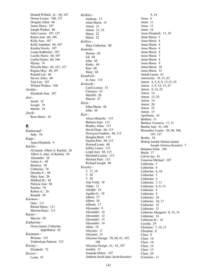Donald Willard , Jr.: 60, 107 Donna Louise: 106, 127 Douglas Allen: 68 Jamie Dawn: 107 Joseph Walker: 60 Julie Louise: 107, 127 Karen Ann: 60, 106 Kelly Ann: 107 Kelly Jonathan: 60, 107 Kendra Nicole: 107 Leann Katherine: 107 Lucille Marie: 60, 107 Luella Elaine: 60, 106 Myrna: 74 Priscilla May: 60, 107, 127 Regina May: 60, 107 Ronald Lee: 60 Steven Allen: 60 Tara Lee: 107 Willard Walker: 106 *Jordan -* Elizabeth Ann: 107 *Jost -* Jacob: 19 Joseph: 19 Martin: 19 *Juzyk -* Rose Marie: 65

## **K**

*Kamaraad -* Judy: 54 *Kapp -* Anna Elisabeth: 9 *Karlin -* Al (name: Albert A. Karlin): 26 Albert A. (aka: Al Karlin): 26 Alexander: 26 Anton A.: 49 Beatrice: 38 Catherine: 76 Dorothy F.: 49 Mary Ann: 26 Mildred M.: 82 Patricia Ann: 86 Pauline: 76 Robert A.: 26 Ronald: 29 *Karman -* Gary: 111 Rhond Marie: 111 Shawna Kaye: 111 *Kaster -* Marvin: 50 *Katharina -* Gross (name: Catherine Appelhans): 42 *Kaumans -* Brianna: 123 Timberlynn Patricia: 123 *Keeney -* Elizabeth: 72 *Keever -* Leota: 91

*Kelbler -* Andreas: 15 Anna Maria: 15 Anton: 21 Anton: 21, 22 Maria: 22 Maria: 22 *Kellers -* Mary Catherine: 88 *Kemnitz -* Denise: 68 Ed: 68 John: 68 Kathy: 68 Ken: 68 Mary: 68 *Kendrick -* Jo Ann: 118 *Kennedy -* Carol Louise: 53 Clarence: 67 Merrlill: 28 Sharon: 67 *Kern -* Edna Maria: 48 John: 48 *Kerr -* Alicia Michelle: 115 Barbara Jean: 115 Bradley Allan: 115 David Dean: 68, 115 Dewayne Franklin: 68, 115 Douglas Brett: 115 Gaylan Pete: 68, 115 Howard Louis: 68 Jeffrey Lance: 115 Leigh Ann: 68, 115 Merideth Louise: 115 Michael Paul: 115 Richard Joseph: 68 *Kessler -* ?: 17, 18 ?: 30 ?: 30 Ada Viola: 18 Adam: 13 Adolph: 14 Agatha G.: 18 Albert: 17 Albert: 30 Alberta: 17 Alexander: 9 Alexander: 10 Alexander: 12 Alexander: 15 Alexander: 14 Allen: 18 Aloysius: 11 Aloysius: 13 Aloysius George: 30, 60, 61, 107, 108 Aloysius George , Jr.: 61, 107 Amalia: 13 Amanda Delois: 107 Andreas Jacob (aka: Jacob Kessler):

9, 14 Anna: 6 Anna: 11 Anna: 11 Anna: 16 Anna Elisabeth: 11, 19 Anna Maria: 5 Anna Maria: 6 Anna Maria: 6 Anna Maria: 6 Anna Maria: 8 Anna Maria: 7 Anna Maria: 8 Anna Maria: 9 Anna Maria: 10 Anna Maria: 12 Annah Layne: 61 Antoinetta: 18, 31, 63 Anton: 4, 5, 8, 9, 13-15, 25 Anton: 5, 9, 14, 15, 25 Anton: 9, 14, 25 Anton: 14 Anton: 13, 25 Anton: 14 Anton: 26 Anton: 25 Anton: 15 Apollonia: 16 Barbara: 11 Barbara Veronica: 17, 31 Basilia Ann: 61, 108 Bernadine Louise: 30, 60, 106, 107, 127 Bertha: 18 Bishop Joseph Aloisus (name: Joseph Aloisius Kessler): 7 Brandon Gene: 109 Buela: 17 Calvin Jay: 61 Cameron Michael: 107 Catharina: 5 Catharina: 6 Catharina: 6, 10 Catharina: 5 Catharina: 6 Catharina: 7, 11 Catharina: 6, 9, 15 Catharine: 8 Catharine: 8 Catharine: 10 Catharine: 10, 17 Catharine: 12 Catharine: 13 Catharine Margaret: 8, 13, 14 Catherine: 16 Catherine K.: 18 Cecelia: 29 Christina: 7, 10, 15 Christina: 8 Clara: 9 Clara: 14 Clara: 14 Clara: 15 Clara: 15 Clara: 26 Cornelius: 11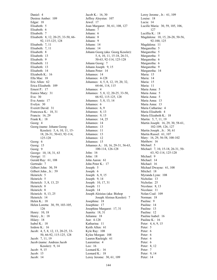Daniel: 4 Desiree Amber: 109 Edgar: 18 Elisabeth: 5 Elisabeth: 6 Elisabeth: 7 Elisabeth: 8, 12, 20-25, 33-50, 66- 92, 115-125, 128 Elisabeth: 7, 11 Elisabeth: 7, 11 Elisabeth: 8 Elisabeth: 13 Elisabeth: 9 Elisabeth: 11 Elisabeth: 13 Elisabeth: 14 Elizabeth K.: 16 Ella Mae: 18 Eric Allen: 62 Erica Elizabeth: 109 Ernest P.: 17 Eunice Mary: 31 Eva: 30 Eva Annie: 17 Evelyn: 30 Everett David: 31 Francesca K.: 18, 31 Francis: 16, 29 Frank K.: 18 Georg: 4 Georg (name: Johann Georg Kessler): 5, 6, 10, 11, 15- 18, 26-31, 50-63, 92-114, 125-128 Georg: 6 Georg: 15 Georg: 9 George: 10, 18, 31, 63 George: 11 Gerald Ray: 61, 108 Gertrude: 7 Gilbert John: 30, 59 Gilbert John , Jr.: 59 Heinrich: 5 Heinrich: 5 Heinrich: 5, 8, 13, 25 Heinrich: 8 Heinrich: 8 Heinrich: 8, 13, 25 Heinrich: 14 Helen K.: 18 Helen Loretta: 30, 59, 103-105, 126 Henry: 10, 18 Henry , Jr.: 18 Hilary: 18 Isabel K.: 18 Isidore K.: 16 Jacob: 4, 5, 8, 12, 13, 20-25, 33- 50, 66-92, 115-125, 128 Jacob: 7, 11, 19 Jacob (name: Andreas Jacob Kessler): 9, 14 Jacob: 9, 15 Jacob: 15 Jacob: 14

Jacob K.: 16, 30 Jeffrey Aloysius: 107 Jewel: 17 Joan Margaret: 30, 61, 108, 127 Johann: 7 Johann: 6 Johann: 8 Johann: 9 Johann: 14 Johann: 14 Johann Georg (aka: Georg Kessler): 5, 6, 10, 11, 15-18, 26-31, 50-63, 92-114, 125-128 Johann Georg: 7 Johann Joseph: 9, 15 Johann Peter: 14 Johannes: 14 Johannes: 4-128 Johannes: 4, 5, 8, 12, 19, 20, 32, 64-66, 114, 115 Johannes: 4 Johannes: 5, 8, 12, 20-25, 33-50, 66-92, 115-125, 128 Johannes: 5, 8, 13, 14 Johannes: 6 Johannes: 6, 9 Johannes: 8, 13 Johannes: 9, 15 Johannes: 14, 25 Johannes: 14 Johannes: 13 Johannes: 11 Johannes: 13 Johannes: 12 Johannes: 15 Johannes A.: 10, 16, 29-31, 56-63, 100-114, 126-128 John: 16 John: 18 John Aaron: 61 John Peter K.: 17 Joseph: 5 Joseph: 6 Joseph: 6, 9, 15 Joseph: 9, 14 Joseph: 10, 17, 31 Joseph: 11 Joseph: 14 Joseph Aloisius (aka: Bishop Joseph Aloisus Kessler): 7 Josephine: 18 Josephine: 17 Josephine Margaret: 17, 31 Juanita: 18, 31 Julianna: 18 Just: 4-128 Katharina: 11 Keith Allen: 61 Kyle Ray: 108 Kylee Morgan: 108 Lauren Raeleigh: 61 Laurentius: 4 Leo: 16 Leonard K.: 16 Leonard K.: 18 Leroy Jerome: 30, 61, 109

Leroy Jerome , Jr.: 61, 109 Louise: 18 Lucia: 14 Lucille Maria: 30, 59, 105, 106, 127 Lucillia K.: 18 Magdalena: 10, 15, 26-28, 50-56, 92-100, 125 Magdalena: 11 Margaretha: 5 Margaretha: 5 Margaretha: 5 Margaretha: 6 Margaretha: 6 Margaretha: 9 Margaretha: 14 Maria: 15 Maria: 14 Maria: 15 Maria: 11 Maria Anna: 5 Maria Anna: 5 Maria Anna: 5 Maria Anna: 13 Maria Anna: 13 Maria Catharine: 4 Maria Elisabeth: 4 Maria Elizabeth K.: 18 Martin: 5, 7, 11, 19 Martin Joseph: 16, 29, 30, 58-61, 102-109, 126, 127 Martin Joseph , Jr.: 30, 61 Martin Russel: 61, 107 Mary: 16, 29, 56-58, 100-102 Matthew: 16 Michael: 5 Michael: 7, 10, 15-18, 26-31, 50- 63, 92-114, 125-128 Michael: 9 Michael: 14 Michael: 16 Michael Dwayne: 61, 108 Mitchel: 18 Myranda Lynn: 108 Nicholas: 13 Nicholas: 25 Nicolaus: 8, 13 Nicolaus: 11 Nolan Coal: 109 Norman: 18 Pauline: 9 Pauline: 14 Pauline: 13 Pauline: 12 Pauline Isabel: 16 Pauline K.: 16 Peter: 4, 6, 9, 15 Peter: 5 Peter: 6 Peter: 6 Peter: 6 Peter: 6 Peter: 8, 12 Peter: 7 Peter: 9, 14 Peter: 14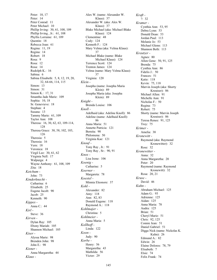Peter: 10, 17 Peter: 14 Peter Conrad: 11 Peter Michael: 10 Phillip Irving: 30, 61, 108, 109 Phillip Irving , Jr.: 61, 108 Phyllis Lorraine: 61, 109 Quentin: 18 Rebecca Joan: 61 Regina: 11, 19 Regina: 14 Robert: 18 Rosa: 9 Rosa: 12 Rosa: 14 Rudolph K.: 16 Sabina: 6 Sabina Elisabeth: 5, 8, 12, 19, 20, 32, 64-66, 114, 115 Simon: 13 Simon: 31 Simon K.: 17, 31 Smantha Jade Marie: 109 Sophia: 10, 18 Sr. Genevieve: 18 Stephan: 4 Susana: 13 Tammy Marie: 61, 109 Taylor Ann: 108 Theresa: 16, 30, 62, 63, 109-114, 128 Theresa Grace: 30, 58, 102, 103, 126 Theresia: 5 Theresia: 16 Vern: 18 Veronica: 18 Virgil Lee: 30, 61, 62 Virginia Nell: 17 Walpurga: 4 Wayne Anthony: 61, 108, 109 Zita: 18 *Ketchum -* John: 73 *Kinderknecht -* Catharina: 6 Elisabeth: 25 Eugene Jacob: 90 Jacob: 25 Kenneth: 90 *Kippes -* Anna C.: 44 *Kirl -* Steve: 36 *Kirven -* Dylan Ray: 105 Ebony Mariah: 105 Shannon Michael: 105 *Kiser -* Alyssa Marie: 98 Brenden John: 98 John E.: 98 *Kisner -* Anna Margaretha: 44 *Klaus -*

Alex W. (name: Alexander W. Klaus): 37 Alexander W. (aka: Alex W. Klaus): 37 Blake Michael (aka: Michael Blake Klaus): 124 Clementine: 48 Cody: 124 Kenneth F.: 124 Mary Velma (aka: Velma Klaus): 37 Michael Blake (name: Blake Michael Klaus): 124 Terrence Scott: 124 Trenton James: 124 Velma (name: Mary Velma Klaus): 37 Virginia: 120 *Klein -* Josepha (name: Josepha Maria Klein): 89 Josepha Maria (aka: Josepha Klein): 89 *Knight -* Brenda Louise: 106 *Knoll -* Adelhaid (aka: Adeline Knoll): 86 Adeline (name: Adelhaid Knoll): 86 Anna Maria: 51 Annette Patricia: 121 Bernita: 90 Philomena: 50 Virginia Kae: 121 *Knouf -* Tony Ray , Jr.: 91 Tony Ray , Sr.: 90, 91 *Knox -* Lisa Irene: 106 *Koenig -* Catharine: 5 *Koerner -* Margareta: 78 *Koestel -* Minnia Eleonore: 37 *Kohl -* Alexander: 82 Amy: 118 Ann: 82, 83 Donald Eugene: 118 Raymond A.: 118 *Kohlmajer -* Christina: 5 *Kohlmeier -* Anna Maria: 5 *Kollhoff -* Linda: 122 *Koon -* Judy: 90 *Korbe -* Henry: 56 Margaretha: 43 Mathilda: 56 Victor: 29

*Kraft -* ?: 32 *Kramer -* Cynthia Ann: 53, 95 Debra Lynn: 53 Donald Dean: 53 Jordan Paul: 113 Melanie Jo: 53 Michael Glenn: 113 Shannon Beth: 113 *Kreutzer -* Agnes: 80 Allen Gene: 50, 91, 125 Brenda: 75 Cynthia Ann: 86 Fidelis J.: 50 Frances: 51 Katie: 118 Kevin: 75, 118 Marvin Joseph (aka: Shorty Kreutzer): 86 Michael Allen: 91 Michelle Ann: 91 Nicholas F.: 50 Regina: 73 Robert: 75 Shorty (name: Marvin Joseph Kreutzer): 86 Teresa Renee: 91, 125 Troy: 75 *Krimer -* Amelia: 38 *Kronewitt -* Raymond (aka: Raymond Kronewitter): 32 Rose: 32 *Kronewitter -* Anna: 32 Anna Margaretha: 20 Peter: 20 Raymond (name: Raymond Kronewitt): 32 Rosa: 20, 21 *Kruse -* David: 46 *Kuhn -* Abraham Michael: 125 Adam G.: 93 Adrienne: 125 Aidan: 125 Anna Maria: 78 Audra: 125 Brian: 51 Cheryl Marie: 51 Chris: 92, 125 Connie Jean: 51 Daniel Gabriel: 51 Digga Nick (name: Nickolas K. Kuhn): 26 Edmund A.: 82 Edwin: 26 Elaine Dolores: 78, 79 Elisabeth: 7 Elsie: 74 Felix Frank: 74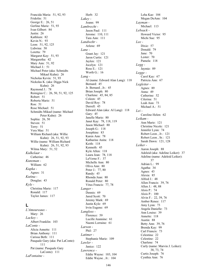Francida Maria: 51, 92, 93 Fridolin: 51 George E.: 26, 51 Gerline Marie: 51, 93 Ivan Gilbert: 84 Justin: 26 Kathleen: 82 Kevin N.: 93 Leon: 51, 92, 125 Lidwina: 50 Loretta: 79 Margaret Kay: 51, 93 Margaretha: 42 Mary Ann: 51, 92 Michael J.: 51 Michael Peter (aka: Schmidts Mikael Kuhn): 26 Nicholas Kevin: 51, 93 Nickolas K. (aka: Digga Nick Kuhn): 26 Raymond J.: 78 Remigius C.: 26, 50, 51, 92, 125 Robert: 51 Roberta Marie: 51 Ron: 51 Rose Michael: 51 Schmidts Mikael (name: Michael Peter Kuhn): 26 Sophia: 26, 50 Steven: 51 Terry: 51 Vera Mae: 51 William Richard (aka: Willie Kuhn): 26, 51, 92, 93 Willie (name: William Richard Kuhn): 26, 51, 92, 93 Wilma Mary: 51, 52 *Kulkelaar -* Catherine: 46 *Kunzman -* William: 62 *Kupka -* Agnes: 31 *Kutina -* Douglas: 43 *Kyle -* Christina Marie: 117 Ronald: 117 Taylor James: 117

### **L**

*L'Amoureaux -* Mary: 26 *Lackey -* Albert Franklin: 103 *LaConte -* Alicia Annette: 111 Brian Anthony: 111 Carissa Beth: 111 Pasquale Gary (aka: Pat LaConte): 111 Pat (name: Pasquale Gary LaConte): 111 *LaFontaine -*

Herb: 32 *Lakey -* Joann: 99 *Lambrecht -* Jason Paul: 111 Jerome: 110, 111 Tara Ann: 111 *Landwehr -* Arlene: 69 *Lane -* Grant Jay: 121 Jaron Curtis: 121 Jaylen: 121 Jocelyn: 121 Ross E.: 121 Worth G.: 16 *Lang -* Al (name: Edward Alan Lang): 118 Bernard: 45 Jr. Bernard , Jr.: 45 Brian Joseph: 80 Charlene: 45, 84, 85 Coleen: 45 David Roy: 78 Derrell: 45 Edward Alan (aka: Al Lang): 118 Gary: 45 Janelle Marie: 80 Janet Kay: 78, 118, 119 Jason Michael: 80 Joseph G.: 118 Josephine: 83 Karen Ann: 78 Katharine Anita: 118 Keith: 118 Kenneth: 45 Kyle Allen: 118 Laura Jean: 78, 118 LaVerne F.: 37 Michelle Ann: 80 Oliva Ann: 80 Peter J.: 77, 80 Randy: 45 Rhonda Jean: 80 Ronald Peter: 80 Vitus Francis: 77, 78 *Langer -* Dennis: 69 Jared Scott: 70 Jeremy Mark: 69 Justin Kyle: 69 lrvin Eugene: 69 *Langloss -* Florence: 59 Lucille Jeannine: 61 Naomi Lorraine: 61 *Larson -* Phil: 27 *Latimer -* Stephanie Marie: 109 *Lawler -* Janice: 122 *Lawrence -* Eddie Wayne: 103, 104 Eddie Wayne , Jr.: 104

Leha Kae: 104 Megan DeAnn: 104 *Layman -* Michael: 113 *Lebsack -* Howard Victor: 95 Michi Sue: 95 *Lee -* Dixie: 57 Donald: 79 Jane: 70 Lester: 70 Pamela: 118 *Legg -* Jaymie: 89 *Legge -* Carol Kay: 67 Patricia Ann: 67 *Legleiter -* Agnes: 89 Anna: 49 Catherine: 52 Cilerina: 51 Leah Ann: 73 Michael A.: 51 *Lei -* Caroline Helen: 62 *Leikam -* Ann Marie: 121 Christine Nicole: 121 Jennifer Lynn: 74 Robert Leon , Jr.: 121 Robert Leon , Sr.: 121 Sarah Dawn: 121, 128 *Leiker -* Aaron Joseph: 88 Adeleid (aka: Adeline Leiker): 37 Adeline (name: Adeleid Leiker): 37 Adrian L.: 99 Agatha: 34 Agnes: 43 Alexia: 85 Alfred J.: 48 Allen Francis: 39, 76 Allen J.: 48, 88 Alois P.: 74 Alois P.: 100 Alvin F.: 22, 39, 76 Amber Renee: 117 Amy Lynn: 73 Angela Danielle: 73 Ann Louise: 39 Annette: 118 Austin: 88 Betty Ann: 39, 76 Brenda Kay: 99 Carl Francis: 73 Celestina: 22 Celestine: 22 Charlene: 74 Curly (name: Marvin J. Leiker): 38, 73, 74 Curtis Joseph: 76 Cynthia Ann: 76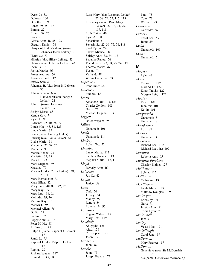Derek J.: 88 Dolores: 100 Dorothy T.: 90 Edna: 39, 75, 118 Emma: 22 Ernest: 39, 76 Frances: 36 Gloria Ann: 48, 88, 123 Gregory Daniel: 76 Hanyacob/Hahn-Yahgob (name: Johannes Jacob Leiker): 21 Henry S.: 73 Hilarius (aka: Hilary Leiker): 43 Hilary (name: Hilarius Leiker): 43 Irvin: 39, 76 Jaclyn Marie: 76 James Andrew: 76 Jason Richard: 117 Jeffrey Samuel: 76 Johannes B. (aka: John B. Leiker): 37 Johannes Jacob (aka: Hanyacob/Hahn-Yahgob Leiker): 21 John B. (name: Johannes B. Leiker): 37 Jordyn Marie: 88 Kenda Kay: 74 Kyler J.: 95 Lidwina: 22, 40, 76, 77 Linda Mae: 48, 88, 123 Linda Marie: 39 Louis (name: Ludwig Leiker): 51 Ludwig (aka: Louis Leiker): 51 Lydia Marie: 51 Marcella: 22, 39, 75 Marcella: 93 Marcie Renee: 73 Marietta: 39, 75 Mark H.: 73 Mark Stephen: 95 Martina: 79 Marvin J. (aka: Curly Leiker): 38, 73, 74 Mary Bernadette: 73 Mary Ellen: 82 Mary Jane: 48, 88, 122, 123 Mary Kay: 39 Mary Lou: 38, 73 Melinda: 39, 76 Melissa Kay: 76 Merlyn J.: 95 Michael Allen: 76 Odilia: 22 Paulina: 37 Peggy Ann: 39, 76 Peter M. M.: 48 Jr. Pius , Jr.: 82 Ralph J. (name: Raphael J. Leiker): 117 Randi J.: 95 Raphael J. (aka: Ralph J. Leiker): 117 Regina: 22 Richard Wayne: 117 Ronald L.: 48, 88

Rose Mary (aka: Rosemary Leiker): 22, 38, 74, 75, 117, 118 Rosemary (name: Rose Mary Leiker): 22, 38, 74, 75, 117, 118 Ruth Elaine: 40 Ryan A.: 88 Sebastian: 21 Severin S.: 22, 39, 75, 76, 118 Shad Tyson: 74 Shawn Michael: 88 Shirley Ann: 38, 74, 117 Suzanne Ranee: 76 Theodore S.: 22, 38, 73, 74, 117 Theresa Marie: 76 Tyson: 74 Verland: 48 Wilma Catherine: 94 *Lepchuk -* Irene June: 64 *Letterle -* Frances: 68 *Lewis -* Amanda Gail: 103, 126 Charles Zeldon: 103 Doris: 26 Michael Eugene: 103 *Liggett -* Bruce Wayne: 69 *Lillian -* Unnamed: 101 *Linda -* Unnamed: 114 *Lindsay -* Robert W.: 52 *Linnebur -* Lanay Marie: 113 Stephen Dwaine: 113 Stephen Mark: 112, 113 *Lloyd -* Beverly Ann: 46 *Lofgreen -* Jon C.: 42 *Logan -* Janice: 58 *Long -* Carl: 54 Jeffrey: 54 Mandy: 97 Randy: 54 Ronnie: 54, 97 *Lonnon -* Eugene Wiley: 119 Mary Beth: 119 *Lovelady -* Abigayle: 126 Alex: 126 Christopher: 126 Jason: 126 *Lubbers -* John: 82 *Luecke -* John: 73 Joseph Francis: 73

Paul: 73 Tom: 73 William: 73 *Luetters -* Gertrude: 36 *Luther -* Carol Lee: 59 John: 59 *Lydia -* Unnamed: 101 *Lynn -* Unnamed: 51

#### **M**

*Mages -* Lyle: 47 *Mai -* Colton H.: 122 Elwood T.: 122 Ethan Travis: 122 Morgan Leigh: 122 *Maple -* Floyd: 101 Jennifer: 101 Keith: 101 *Margaretha -* Unnamed: 8 Unnamed: 8 *Margheim -* Lori: 87 *Maria -* Unnamed: 4 *Marrow -* Richard Lee: 102 Richard Lee , Jr.: 102 *Martinez -* Roberta Ann: 95 *Martinez-Forsberg -* Cheslsy Elaine: 127 *Matthews -* Sylvia: 115 *Matthias -* Catharina: 13 *McAllison -* Kayla Marie: 109 Matthew Douglas: 109 *McCargar -* Erica Joy: 71 Gary: 71 Jessica Ann: 71 Tricia Lynn: 71 *McConnell -* Jan: 71 *McCoy -* Vesta Mae: 121 *McCullough -* Carol Jane: 99 *McDermott -* Mary Frances: 17 *McDonald -* Genevieve (aka: Sis McDonald): 62 Sis (name: Genevieve McDonald):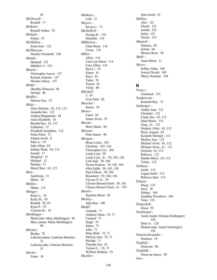62 *McDowell -* Ronald: 17 *McKain -* Ronald Arthur: 52 *Mckean -* Eilene: 53 *McMullen -* Erma Jean: 123 *McPherson -* Heather Elizabeth: 120 *Meade -* Harland: 123 Matthew J.: 123 *Mearis -* Christopher Aaron: 127 Keanan Antonio: 127 Meriah Ashley: 127 *Meder -* Dorothy Dionysia: 46 George: 46 *Medlin -* Darlene Sue: 55 *Meier -* Alice Darlene: 63, 112, 113 Amanda Sue: 112 Andrea Margaretha: 44 Anna Elisabeth: 14 Brenda Sue: 63, 113 Catharine: 12 Elizabeth Josephine: 112 Franz Peter: 11 Johann Jacob: 8 John A.: 63 John Allen: 63 Johnny Dean: 63, 112 Joseph: 11 Margaret: 12 Michael: 12 Paulina: 11 Sheryl Kay: 63, 113 *Meis -* Apollonia: 31 Maria: 28 *Mellies -* Debra: 115 *Menges -* Katie L.: 93 Kelly M.: 93 Ronald: 92, 93 Ryan P.: 93 Victoria M.: 93 *Merklinger -* Maria (aka: Mary Merklinger): 89 Mary (name: Maria Merklinger): 89 *Mermis -* Bertha: 78 Lidwina (name: Ludwina Mermis): 51 Ludwina (aka: Lidwina Mermis): 51 *Mertes -* Franz: 10

*Metheny -* Lela: 31 *Meyers -* Kevin L.: 71 *Michellich -* George R.: 116 Michelle: 116 *Mikkelsen -* Chari Rene: 116 Corey: 116 *Miller -* Allen: 114 Cara Lyn Marie: 114 Cory Allen: 114 Don L.: 74 Elmer: 81 Kaye: 81 Tamy: 74 Teresa: 81 Vicky: 80 *Mitchell -* ?: 47 Irvin Dale: 82 *Moeckel -* Karen: 78 *Moore -* Carol: 85 James Alvin: 19 *Moran -* Betty Marie: 86 *Moreno -* Peter James: 98 *Morgan -* Brian Leslie: 103 Christine: 103, 126 Christopher Lee: 104 Leslie Lyle: 59 Leslie Lyle , Jr.: 59, 103, 126 Lyla Jean: 59, 104 Neomi Pauline: 59, 103, 104 Ollie Edith: 59, 103, 126 Paul Gilbert: 59, 104 Rosemary: 59, 104, 126 Ulysses S. G.: 59 Ulysses Samuel Grant: 59, 103 Ulysses Samuel Grant , Jr.: 103 *Mosier -* Kayleen Marie: 92 *Moxley -* Judy Kay: 100 *Mudd -* Amanda: 71 Anthony Dean: 35, 71 Carmen: 71 Hugh: 35 James: 71 John: 71 Mary Beth: 35, 71 Patricia Ann: 35, 71 Shielda: 71 Timothy Joe: 35 Vernon L.: 35, 71 William Mathias: 35 *Mueller -*

John Jacob: 81 *Mullen -* Alec: 121 Chuck: 121 Jordan: 121 Juliet: 121 Nicole: 121 *Munsch -* Dolores: 48 Julieta: 84 Monica Rose: 50 *Muth -* Anna Maria: 11 *Myers -* Jeffrey Allan: 109 Jessica Nicole: 109 Marcy Suzanne: 104

#### **N**

*Nancy -* Unnamed: 123 *Nankerrois -* Kenneth Ray: 72 *Neiberger -* Amber Ann: 112 Christina: 112 Cindy Sue: 63, 112 Dana Marie: 112 Greg , Jr.: 112 Gregory Allen: 63, 112 Harry August: 63 Kenneth Michael: 112 Mellisa Ann: 112 Michael Alvin: 63, 112 Michael Alvin , Jr.: 112 Norman: 63, 112 Rebecca: 112 Sandra Marie: 63, 112 Trisha: 112 *Neihaus -* Garth: 115 Logan Garth: 115 Rebecca Jane: 115 *Nelson -* Doug: 123 Jerry: 36 Johnny: 104 Jonathan Woodrow: 104 Tony: 123 *Nemechek -* Klara: 55 *Neuburger -* Annie (name: Deanna Neuburger): 128 Dean A.: 128 Deanna (aka: Annie Neuburger): 128 *Neuenschwander -* Donnica: 18 *Neufeld -* Donavan: 90 *Neufeldt -* Donovan James: 49 *New -*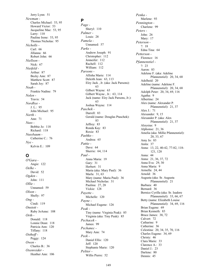Jerry Lynn: 51 *Newman -* Charles Michael: 53, 95 Howard Victor: 53 Jacqueline Mae: 53, 95 Larry: 110 Pauline Irene: 53, 95 Thomas Nicholas: 95 *Nicholls -* Carl: 66 Jillanna: 66 Robert John: 66 *Niellson -* Nick: 67 *Nietfeld -* Arthur: 87 Becky Ann: 87 Matthew Scott: 87 Sarah Joy: 87 *Noah -* Frankie Nadine: 79 *Nolen -* Travis: 54 *Nordbye -* J. L.: 95 John Michael: 95 *North -* Ann: 71 *Nuss -* Bobbie Jo: 118 Richard: 118 *Nussbaum -* Catherine C.: 76 *Nye -* Kelvin E.: 109

# **O**

*O'Gara -* Angie: 122 *Oelke -* David: 52 *Ogden -* John: 111 *Ollie -* Unnamed: 59 *Olson -* Shelly: 97 *Ong -* Cindi: 119 *Onstott -* Ruby JoAnne: 108 *Orth -* Donald: 118 Lonnie Dean: 118 Patricia Ann: 120 Tiffany: 118 *Osthoff -* Peggy: 124 *Owen -* Charles B.: 36 *Oxenreider -* Heather Ann: 106

**P** *Page -* Sheryl: 110 *Palmer -* Louis: 28 *Pamela -* Unnamed: 57 *Parks -* Andrew Joseph: 91 Christopher: 112 Jenneifer: 112 Rachell: 112 William: 112 *Parsons -* Allisha Marie: 114 Deleith Jean: 63, 113 Elzy Jack , Jr. (aka: Jack Parsons): 63 Gilbert Wayne: 63 Gilbert Wayne , Jr.: 63, 114 Jack (name: Elzy Jack Parsons, Jr.): 63 Joshua Wayne: 114 *Paschek -* Darrell: 83 Gerald (name: Douglas Ptaschek): 83 Jeffrey: 83 Ronda Kay: 83 Roxie: 83 *Pashko -* Andrea: 65 *Pattie -* Dave: 64 Sherrie: 64, 114 *Paul -* Anna Maria: 19 Gary: 31 Herbert: 31 Maria (aka: Mary Paul): 36 Marla: 31, 63 Mary (name: Maria Paul): 36 Michael Nicholas: 31 Paulina: 27, 28 Vickie: 128 *Payette -* Michelle: 120 *Payne -* Michael Eugene: 126 *Peak -* Tiny (name: Virginia Peak): 85 Virginia (aka: Tiny Peak): 85 *Pechacek -* James: 99 *Pechanec -* Mary Ann: 74 *Peek -* Daniel Ellis: 120 Jeff: 120 Stephanie Marie: 120 *Peltier -* Willis Pierre: 52

*Penka -* Marlene: 93 *Pennington -* Charlene: 99 *Peters -* John: 26 Mary: 17 *Peterson -* ?: 18 Edna Tina: 64 *Petterson -* Florence: 16 *Pfannenstiel -* ?: 23 Aaron: 83 Adelene F. (aka: Adeline Pfannenstiel): 20, 34, 68 Adelheid: 20 Adeline (name: Adelene F. Pfannenstiel): 20, 34, 68 Adolph Peter: 20, 34, 69, 116 Agatha: 9 Albertine: 24 Alex (name: Alexander P. Pfannenstiel): 21, 37 Alex J.: 71 Alexander: 9, 15 Alexander P. (aka: Alex Pfannenstiel): 21, 37 Aloysius: 9 Alphonse: 21, 36 Amelia (aka: Millie Pfannenstiel): 20, 33, 67 Amy Jo: 83 Anita: 37 Anna: 13, 22, 40-42, 77-82, 118- 121, 128 Anna: 44 Anna: 21, 36, 37, 72 Anna Eva: 29, 30 Anna Maria: 9 Armella: 24, 44 Arnold: 36 Augusta (aka: Sr. Augusta Pfannenstiel): 21 Barbara: 40 Bernard: 36 Bernice Cyrilla (aka: Sr. Isadore Pfannenstiel): 33, 66, 67 Betty (name: Elizabeth Louise Pfannenstiel): 34, 69, 116 Brian Eugene: 69 Brian Kenneth: 83 Bruce James: 38, 72 Calvert: 72 Catharine: 9 Catherine: 36 Celestina: 20, 34, 35, 70, 116 Charles Eugene: 34, 69 Christy: 46 Clara Marie: 33 Clarence A.: 33 Daniel J.: 23 Darlene: 80 Dennis: 45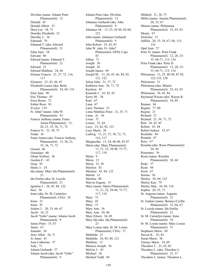Diveline (name: Johann Peter Pfannenstiel): 12 Donald: 45 Donald Albert: 33 Dora Lee: 38, 73 Dorothy Elizabeth: 21 Dorothy J.: 36 Edmund: 79 Edmund T. (aka: Edward Pfannenstiel): 21 Edna Jane: 24 Edward: 80 Edward (name: Edmund T. Pfannenstiel): 21 Edward: 23 Edward Matthias: 24, 46 Eleanor Francis: 21, 37, 72, 116, 117 Eleanore: 23, 43, 44, 83 Elizabeth Louise (aka: Betty Pfannenstiel): 34, 69, 116 Elsie Jane: 90 Eric Thomas: 83 Erica Renie: 72 Esther Rose: 81 Evelyn: 119 Fr. John? (name: John W. Pfannenstiel): 43 Francis Anthony (name: Franz Anton Pfannenstiel): 13, 20, 21, 35, 36, 71, 72 Francis N.: 21, 38, 73 Frank: 36 Franz Anton (aka: Francis Anthony Pfannenstiel): 13, 20, 21, 35, 36, 71, 72 Gerard: 46 Germaine: 80 Glenn Norbert: 36 Gordon F.: 43 Greg: 43 Henry J.: 24 Ida (name: Mary Ida Pfannenstiel): 23 Ida Emilia (aka: Sr. Loyola Pfannenstiel): 21 Ignatius J.: 24, 45, 84, 122 Inez: 36 Irene (aka: Sr. M. Carmelyn Pfannenstiel, CSA): 24 Irene: 21 Irene: 81 Isidore J.: 20, 33, 66, 67 Jacob: 16, 23 Jacob "Gobs" (name: Johann Jacob Pfannenstiel): 9 James Peter: 33, 67 Jamie: 67 Jeanette: 24 Jerry Allen: 36, 71 Jo Anne: 43 Joan Catherine: 37 Jody: 71 Johann Gerhardt: 57 Johann Jacob (aka: Jacob "Gobs" Pfannenstiel): 9

Johann Peter (aka: Diveline Pfannenstiel): 12 Johannes Gerhardt (aka: John Pfannenstiel): 9 Johannes M.: 13, 23, 42-44, 82-84, 121 John (name: Johannes Gerhardt Pfannenstiel): 9 John Robert: 23, 43, 83 John W. (aka: Fr. John? Pfannenstiel, OFM, Cap): 43 JoRae: 71 Joseph: 36 Joseph: 43 Joseph James: 69 Joseph M.: 13, 24, 45, 46, 84, 85, 121, 122 Julius John: 21, 37, 72 Kathleen Ann: 36, 71, 72 Kayleen: 43 Kenneth J.: 43, 82, 83 Kerry M.: 38 Kurt: 67 Lana: 67 Larry Thomas: 33 Linus Matthias Peter: 21, 35, 71 Linus , Jr.: 36 Louis: 37 Louise: 23, 44 Lucy: 23, 42, 82, 121 Lucy Marie: 36 Ludwig: 13, 21, 37, 38, 72, 73, 116, 117 Margaretha: 13, 24, 46-48, 85-87 Maria (aka: Mary Pfannenstiel): 13, 21, 22, 38-40, 73-77, 117, 118 Maria: 9 Maria: 15 Maria: 21, 36 Marilyn: 43 Marlene: 45, 84, 122 Martin: 12 Martina: 88 Marvin Eugene: 33 Mary (name: Maria Pfannenstiel): 13, 21, 22, 38-40, 73-77, 117, 118 Mary: 73 Mary: 45 Mary: 37 Mary Ann: 36 Mary Ann: 24, 46 Mary Eileen: 34, 69 Mary Ida (aka: Ida Pfannenstiel): 23 Mary Louise (aka: Sr. M. Louise Pfannenstiel, CSA): 37 Mathilda: 21 Mathilda: 24, 45, 84, 121 Matthias: 12 Maurice Joseph: 36 Melvin J.: 43 Michael: 36 Michael Todd: 69

Mildred: 21, 38, 73 Millie (name: Amelia Pfannenstiel): 20, 33, 67 Minnie (name: Philomena Pfannenstiel): 23, 43, 83 Monty: 67 Nicholas: 13 Odillia: 20, 33, 34, 67, 68, 115, 116 Opal Jean: 57 Peter D. (name: Peter Frank Pfannenstiel): 12, 20, 33- 35, 66-71, 115, 116 Peter Frank (aka: Peter D. Pfannenstiel): 12, 20, 33- 35, 66-71, 115, 116 Philomena: 13, 25, 48-50, 87-92, 122-125, 128 Philomena: 21 Philomena (aka: Minnie Pfannenstiel): 23, 43, 83 Philomena: 24, 45, 84 Raymond Wayne (aka: Wayne R. Pfannenstiel): 34, 69 Reanne: 84 Regina: 77, 80 Regina: 21 Richard: 21 Richard: 21, 36, 71, 72 Rita: 24, 45, 85 Robert: 45, 84 Robert Isidore: 33, 67 Rochelle: 84 Ronnda: 67 Rory: 67 Rosalita (aka: Rosie Pfannenstiel): 24, 44 Rosemary: 36 Rosie (name: Rosalita Pfannenstiel): 24, 44 Rudy: 37 Ryan: 84 Scott: 67 Serena: 36 Shirley: 45, 84, 122 Shirley Kay: 79 Shirley Mae: 34, 69, 116 Sophia: 20, 35, 71 Sr. Augusta (name: Augusta Pfannenstiel): 21 Sr. Isadore (name: Bernice Cyrilla Pfannenstiel): 33, 66, 67 Sr. Loyola (name: Ida Emilia Pfannenstiel): 21 Sr. M. Carmelyn (name: Irene Pfannenstiel): 24 Sr. M. Louise (name: Mary Louise Pfannenstiel): 37 Stephanie Marie: 69 Steven K.: 43, 83 Susan Marie: 36 Tammy Marie: 34, 69 Theodore J.: 23, 43, 82 Theodore L. (aka: Theodore L. Pfannenstiel): 21, 37 Theodore L. (name: Theodore L.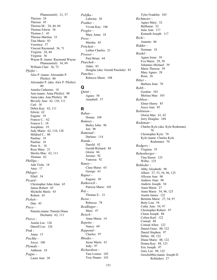Pfannenstiel): 21, 37 Theresa: 24 Theresa: 45 Theresa M.: 24, 44, 84 Thomas Edwin: 36 Thomas J.: 43 Threasa Martina: 33 Tina Marie: 83 Veronica: 37 Vincent Raymond: 36, 71 Virginia: 24, 44 Virginia: 36 Wayne R. (name: Raymond Wayne Pfannenstiel): 34, 69 William Clair: 36, 72 *Pfeifer -* Alex P. (name: Alexander P. Pfeifer): 80 Alexander P. (aka: Alex P. Pfeifer): 80 Amelia Catherine: 18 Ann (name: Anna Pfeifer): 90 Anna (aka: Ann Pfeifer): 90 Beverly Ann: 62, 110, 111 Carl: 18 Debra Kay: 62, 111 Edwin: 62 Eugene: 19 Francis C.: 62 Francis J.: 18 Josephine: 19 Judy Marie: 62, 110, 128 Mildred C.: 80 Pauline: 19 Pauline: 18 Peter A.: 18 Rose Mary: 21 Sheilia Mae: 62, 111 Thomas: 62 *Phillips -* Ada Viola: 18 Amy: 17 *Phleger -* Ethel: 34 *Picard -* Christopher John Alan: 65 James Robert: 65 Michelle Marie: 65 Robert: 65 *Pickett -* Dan: 45 *Piece -* Pamela (name: Pamela Diane Dechant): 62, 111 *Pierce -* Austin Lee: 126 Darrell Lee: 126 *Pink -* Anna: 15 *Pischke -* Joyce: 100 *Plymale -* Addison: 18 *Pogue -* Laura Ann: 38

*Polifka -* Lidwina: 38 *Prather -* Vivian Kay: 106 *Pregler -* Mary Anna: 18 *Press -* Marsha: 45 *Pritchett -* Luther Charles: 21 *Prosser -* Paul Brian: 64 *Ptaschek -* Adair: 83 Douglas (aka: Gerald Paschek): 83 *Punches -* Rebecca Marie: 108

**Q**

*Quint -* Agnes: 58 Annabell: 57

# **R**

*Rabas -* Donna: 109 *Ramsey -* Bailey John: 96 Jon: 96 *Ramstad -* Darlene: 114 *Randa -* Darold: 92 Gerald Richard: 84 Gloria: 84 Jerome: 92 Vanessa: 92 *Raney -* Clara Marie: 63 George: 63 *Rapier -* Eugene: 30 *Ratkovich -* Patricia Marie: 103 *Ray -* Thomas E.: 21 *Reese -* Rebecca: 78 *Reidlinger -* Mary: 47 *Reisch -* Anna Maria: 14 *Repetto -* Nancy: 69 *Reppond -* Charles: 97 *Rhodes -* Jayne Marie: 61 Judy: 97 *Richardson -* Tara Louise: 103 Troy Duane: 103

Tyler Franklin: 103 *Richmeier -* Agnes Mary: 52 Balthasar: 52 Julie Ann: 117 Kenneth Joseph: 117 *Ricki -* Annette: 86 *Ridder -* Norman: 18 *Riedel -* Agnes Irene: 39 Eva Marie: 29, 30 Johannes Michael: 39 Marie Theresa: 39 Mary Agnes: 28 Rosa: 26 *Ritter -* Barbara Jean: 70 *Robb -* Gordon: 103 Melissa Mae: 103 *Robben -* Elmer Henry: 85 Joyce Ann: 85 *Robinson -* Gloria Mae: 61, 62 Jerry Douglas: 104 *Rodeman -* Charles Kyle (aka: Kyle Rodeman): 70 Christopher Kyle: 70 Kyle (name: Charles Kyle Rodeman): 70 *Rodgers -* Virginia: 55 *Rohenberger -* Tina Storm: 125 Willie: 125 *Rohleder -* Abby Alizabeth: 98 Albert: 27, 53, 54, 96, 125 Allyson Ann: 98 Andrew Alan: 98 Andrew Joseph: 54 Anna Maria: 27 Anna Marie: 54, 96, 125 Austin James: 122 Bernitta Marie: 27, 54, 97 Betty Lou: 54 Cathy Ann: 54, 97 Christopher Robert: 97 Cletus Joseph: 88 Colten Karl: 122 Conrad: 88 Conrad Allen: 122 Daniel Gene: 88, 122 Daniel Stephen: 97 Debra: 88, 122 Diane Marie: 88, 122 Donna Kay: 88, 123 Eric Joseph: 97 Gary Lee: 88, 122 Geschobbla (name: Joseph D. Rohleder): 27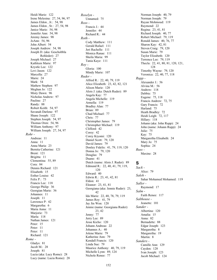Heidi Marie: 122 Irene Melesina: 27, 54, 96, 97 James Eldon , Jr.: 54, 98 James Eldon , Sr.: 27, 54, 98 Janice Marie: 54, 98 Jennifer Ann: 54, 98 Jeremy James: 98 JoAnn: 54, 96 John Albert: 54 Joseph Andrew: 54, 98 Joseph D. (aka: Geschobbla Rohleder): 27 Joseph Michael: 27 Kathleen Marie: 97 Krystle Lee: 122 Levi Jason: 122 Marcella: 27 Marie: 24 Mark: 54 Mathew Stephen: 97 Meghan Jo: 122 Misty Dawn: 96 Nicholas Andrew: 97 Pauline: 27 Randy: 88 Robert Keith: 54, 97 Savanah Darlene: 97 Shane Joseph: 122 Stephen Joseph: 54, 97 Thomas Oren: 54, 96 William Anthony: 97 William Joseph: 27, 54, 97 *Rohr -* Andreas: 11 Anna: 11 Anna Maria: 23 Bernita Catherine: 121 Brent: 121 Brigitta: 11 Clementina: 55, 89 Cora: 84 Dennis Richard: 121 Elisabeth: 15 Esther Louise: 42 Felix P.: 73 Francis Lee: 118 George Philip: 36 Georgian Marie: 36 Johannes: 11 Joseph: 11 Lawrence P: 42 Margaretha: 6 Maria Anna: 11 Mariorie: 73 Marla: 118 Nathan James: 121 Peter: 15 Peter: 11 Peter: 11 Richard: 121 *Rome -* Gladys: 81 Jacob M.: 28 Joseph: 81 Lucia (aka: Lucy Rome): 28 Lucy (name: Lucia Rome): 28

*Roselyn -* Unnamed: 75 *Ross -* Francis J.: 44 Jennifer: 44 Richard R.: 44 *Roth -* Cody Matthew: 111 Gerald Rafael: 111 Jeri Rachelle: 111 Monica Ranae: 111 Sheila Maria: 99 Tania Kaye: 111 *Roy -* Gloria: 100 Mindy Marie: 107 *Ruder -* Alfred R.: 22, 40, 79, 119 Alice Elizabeth: 23, 42, 82, 121 Alison Marie: 120 Alois J. (aka: Dutch Ruder): 89 Angela Kay: 77 Angela Michelle: 119 Armella: 119 Bradley Alan: 77 Brian: 89 Chad Michael: 77 Chris: 77 Christopher James: 79 Christopher Michael: 119 Clifford: 42 Corey: 42 Corey Kiyomi: 120 Daniel Scott: 79, 120 David James: 79 Donley Fidelis: 41, 79, 119, 120 Donna Jo: 79, 120 Douglas: 79 Duane: 41 Dutch (name: Alois J. Ruder): 89 Edmund R.: 22, 40, 41, 79, 119, 120 Edward: 40 Edwin R.: 23, 41, 42, 81 Eldon: 41 Eleanor: 23, 41, 81 Georgiana (aka: Jennie Ruder): 23, 42 Ida Marie: 22, 40, 78, 79, 119 James Roy: 41, 79 Jay Jin Won: 120 Jennie (name: Georgiana Ruder): 23, 42 Jenny: 77 Jerry Lee: 89 Jesse Kicho: 120 Johann Andreas: 22 Johannes A.: 40 Jolene Marie: 79 Katherine Ann: 79 Kendall Francis: 120 Linda Sue: 79 Maurice Anthony: 40, 79, 119 Michelle Lynn: 89, 124 Nichole Renee: 77

Norman Joseph: 40, 79 Norman Joseph: 79 Rayan Mohmoud: 119 Raymond: 22 Regina: 23, 41, 81 Richard Joseph: 40, 77 Robert Michael: 79, 119 Ronald James: 40, 76, 77 Sharon Kay: 42, 81 Steven Craig: 79, 120 Susan Marie: 79 Taylor Elizabeth: 120 Terrence Lee: 79, 119 Thecla: 22, 41, 80, 81, 120, 121, 128 Timothy Wayne: 79, 120 Veronica: 22, 40, 77, 118 *Rupp -* Alexander J.: 56 Alvina M.: 56 Andrew: 118 Debbie: 75 Eugene: 75, 118 Francis Andrew: 72, 75 Gary Francis: 72 Harland: 75 Heath Bradley: 72 Heidi Leigh: 72, 117 Hillary: 118 Johann (aka: John Rupp): 24 John (name: Johann Rupp): 24 Julie: 75 Kay: 75 Margaretha Elisabeth: 24 Mary Jo: 75 Sophia: 24 *Russ -* Maxine: 28

#### **S**

*Sack -* Alice: 79 *Saleh -* Sahar Mohamed Mohamed: 119 *Saller -* Raymond: 17 *Salm -* Faith Renee: 117 *Salthouse -* Jeanette: 101 *Sander -* Albertina: 120 Amalia: 15 Anna: 82 Bernadette: 88 Edgar Joseph: 123 Margaretha: 8 Margaretha: 19 Martin: 8 *Sanders -* Camille Ann: 129 Cayden: 128 Ivan Joseph: 123 Jacob Michael: 124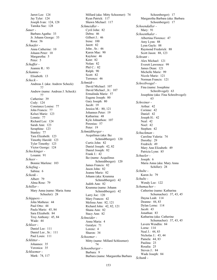Jarret Lee: 124 Jay Tyler: 124 Joseph Ivan: 124, 128 Tamika Sue: 128 *Sauer -* Barbara Agatha: 33 Jr. Johann George: 33 Rosa: 56 *Schaefer -* Anna Catherine: 10 Johann Peter: 10 Margaretha: 5 Peter: 5 *Schaffer -* Jeannie R.: 93 *Schamne -* Elisabeth: 13 *Scheck -* Andreas J. (aka: Andrew Scheck): 77 Andrew (name: Andreas J. Scheck): 77 Catherine: 39 Cody: 124 Constance Louise: 77 John Francis: 77 Kelsei Marie: 123 Lonnie: 77 Richard Lee: 124 Sarah Ann: 123 Seraphine: 123 Stanley: 77 Tara Elizabeth: 123 Timothy Harold: 123 Tyler Timothy: 123 Victor George: 124 *Scheckinger -* Louann: 91 *Scheer -* Bonnie Marlene: 103 *Schefing -* Sabina: 6 *Schenk -* Albert: 79 Alma Rose: 79 *Schiller -* Mary Anna (name: Maria Anna Schueler): 28 *Schippers -* John Matheus: 44 Paul Otto: 44 Paula Marie: 45, 84 Sara Elizabeth: 84 Troy Anthony: 45, 84 Wade: 44 *Schleer -* Daniel Lee: 111 Daniel Lee , Sr.: 111 Paul Louis: 111 *Schlitter -* Johannes: 35 Veronica: 35 *Schloemer -* Mark: 74, 117

Millard (aka: Mitty Schoemer): 74 Ryan Patrick: 117 Shawn Michael: 117 *Schmeidler -* Cyril John: 82 Debra: 46 Gilbert J.: 46 Irene: 100 Jarett: 82 John , Sr.: 46 Karen Mae: 90 Kaylene: 46 Kent: 82 Nolan: 82 Phil C.: 82 Ralph: 90 Scott: 82 Terrence: 46 *Schmidt -* David Michael: 107 David Michael , Jr.: 107 Ermalinda Marie: 57 Eugene Joseph: 80 Gary Joseph: 80 Jacob: 19 Jessica M.: 80, 121 Johannes Peter: 19 Katharina: 48 Kyle Johnathon: 107 Perenius: 57 Peter: 19 *Schmidtberger -* Acquilinus (aka: Ike Schmidtberger): 120 Curtis John: 82 Daniel Joseph: 42, 82 Daniel Joseph: 82 Frank J.: 42 Ike (name: Acquilinus Schmidtberger): 120 James Francis: 82 Jason John: 82 Jeanne Marie: 82 Johann (aka: Krumma Schmidtberger): 42 Judith Ann: 82 Krumma (name: Johann Schmidtberger): 42 Larry Joe: 120 Mary Frances: 42 Melissa Ann: 82, 121 Richard John: 42, 82, 121 Shana Ann: 82 Stacy Ann: 82 *Schneider -* Anna Maria: 4 Geralyn: 71 Lorenz: 4 Sharon: 34 *Schoemer -* Mitty (name: Millard Schloemer): 74 *Schoenberger -* Barbara: 9 Barbara (name: Margaretha Barbara

Schoenberger): 17 Margaretha Barbara (aka: Barbara Schoenberger): 17 *Schoendaller -* Mary: 91 *Schoenthaler -* Albertina Florence: 47 Amy Lynn: 88 Lynn Gayle: 88 Raymond Frederick: 88 Scott Jason: 88, 123 *Schrant -* Alex Michael: 121 Everett Lawrence: 99 James Dean: 121 Michelle Marie: 99 Nicole Marie: 121 Norman Francis: 121 *Schreibvogel -* Fina (name: Josephine Schreibvogel): 63 Josephine (aka: Fina Schreibvogel): 63 *Schreiner -* Arthur: 42 Corinne: 42 Daniel: 42 Joseph H.: 42 Neal: 42 Noel: 42 Stephen: 42 *Schuckman -* Caroline Valeria: 74 Dorothy: 29 Fredrich: 49 Mary Ann Elizabeth: 49 Patricia Lynn: 85 *Schueler -* Joseph: 6 Maria Anna (aka: Mary Anna Schiller): 28 *Schulte -* Karen Jo: 79 *Schultz -* Wendy Lee: 122 *Schumacher -* Catherine (name: Katharina Schumacher): 37, 43, 45 Dayna Leah: 114 Deanne: 44, 83 Dylan Lorne: 114 Jacob: 43 Jonathan: 83 Katharina (aka: Catherine Schumacher): 37, 43, 45 Lavern Wendlin: 84 Lorne: 114 Neal J.: 44, 83 Nicholas J.: 43, 44 Pamela: 44, 83 Paulina: 23 Rosalia: 25 Steven J.: 84 Wade Joseph: 84 *Schunk -*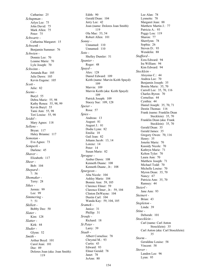Catharine: 25 *Schupman -* Arlyn Lee: 75 John David: 75 Mark Allen: 75 Peter: 75 *Schwartz -* Catharina Margaret: 15 *Schwenk -* Benjamin Summer: 76 *Schwien -* Donnie Lee: 70 Leanne Marie: 70 Lyle Joseph: 70 *Schwinn -* Amanda Rae: 105 Julie Dawn: 105 Kevin Eugene: 105 *Scott -* Julie: 82 *Seems -* Buryl: 55 Debra Marie: 55, 98 Kathy Renea: 55, 98, 99 Kevin Buryl: 55 Tami Ann: 55, 98 Teri Louise: 55, 98 *Seidel -* Mary Agnes: 118 *Sellens -* Bryan: 117 Haley Brianne: 117 *Semotan -* Eva Agnes: 73 *Semperk -* Darlene: 45 *Shaver -* Elizabeth: 117 *Sheer -* Bob: 104 *Shepard -* ?: 56 *Shomaker -* Terry: 28 *Sikes -* Jermie: 99 Lee: 99 *Simmering -* ?: 51 *Skillett -* Bobby Dee: 50 *Slater -* Kim: 128 *Slatter -* Kirk: 44 *Sluder -* Glynn: 52 *Smith -* Arthur Boyd: 101 Carol Jean: 101 Dee: 89 Dolores Joan (aka: Joan Smith): 119

Edith: 90 Gerald Dean: 104 Jerry Lee: 42 Joan (name: Dolores Joan Smith): 119 Ola Mae: 53, 54 Robert Allen: 101 *Sonny -* Unnamed: 110 Unnamed: 110 *Soto -* Shelley Dumler: 51 *Spanier -* Roger: 48 *Spayd -* Alex: 128 Daniel Edward: 109 Keith (name: Marvin Keith Spayd): 109 Marvin: 109 Marvin Keith (aka: Keith Spayd): 109 Patrick Joseph: 109 Stacey Sue: 109, 128 *Speier -* Rosa: 57 *Spies -* Andreas: 13 August: 81 August J.: 81 Dodie Lynn: 82 Emilia: 18 Gail Jean: 82 Johann Jacob: 13, 14 Lorenz: 14 Peter: 14 Susan Marie: 82 *Sprague -* Amber Dawn: 108 Kenneth Duane: 108 Kenneth Duane , Jr.: 108 *Spurgeon -* Alta Nicole: 104 Ashley Marie: 104 Bonnie Ann: 59, 105 Clarence Elmer: 59 Clarence Elmer , Jr.: 59, 104 Clinton DeWayne: 104 Dustin Carl: 104 Wanda Kay: 59, 104, 105 *Sramek -* Janice: 31 Phillip: 31 *Sroufe -* Richard: 18 *St Peter -* Larry: 39 *Staab -* Albert Cornelius: 78 Chrystal M.: 93 Curtis: 43 Edward: 93 Elmer Gerald: 78 Janet: 78 JoAnn: 80

Lee Alan: 78 Lynnette: 78 Margaret Jean: 88 Matthew Martin J.: 77 Patricia A.: 93 Peggy Lou: 119 Sharon: 77 Sherrlynn: 78 Sophia: 26 Steven D.: 93 Wendelin: 88 *Stafford -* Ezra Edward: 94 Ira William: 94 Kim Edward: 94 *Stecklein -* Aloysius C.: 44 Andrea Lee: 70 Benjamin Joseph: 35 Bonita Marie: 35, 70 Carroll Lee: 35, 70, 116 Charles Byron: 70 Cornelius: 44 Cynthia: 44 Daniel Joseph: 35, 70, 71 Destin Thomas: 116 Frank (name: Franklin Dean Stecklein): 35, 70 Franklin Dean (aka: Frank Stecklein): 35, 70 Gerald Dean: 35 Gerald James: 35 Gregory Owen: 70, 116 Henry: 35 Jonette Marie: 70 Kassidy Nicole: 70 Kathryn Marie: 71 Kelton Tyler: 70 Laura Ann: 70 Matthew Joseph: 71 Michael Todd: 70 Michelle Louise: 70 Myron Dean: 35, 70 Nancy: 67 Patricia Ann: 35, 70 Ramsey: 44 *Steierl -* Jane Ann: 93 *Steinert -* Brian: 43 *Stepleton -* Linda: 39 *Stine -* Deborah: 101 *Stoecklein -* Carl (name: Carl Anton Stoecklein): 35 Carl Anton (aka: Carl Stoecklein): 35 *Storm -* Geraldine Louise: 58 Vincent: 58 *Stover -* Landon Lee: 96 Lynn: 95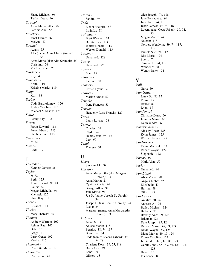Shane Michael: 96 Tucker Dean: 96 *Stramel -* Anna Margaretha: 56 Patricia Ann: 55 *Strecker -* Janet Elaine: 86 Melvin: 47 *Stremel -* Adam: 55 Alta (name: Anna Maria Stremel): 55 Anna Maria (aka: Alta Stremel): 55 Christina: 56 Martha Esther: 77 *Sudduck -* Kay: 47 *Summers -* Keith: 119 Kristine Marle: 119 *Sump -* Kori: 88 *Surber -* Cody Bartholomew: 126 Jordan Caroline: 126 Michael Madison: 126 *Suttle -* Penny Kay: 102 *Swartz -* Faron Edward: 113 Jason Edward: 113 Stephnie Sue: 113 *Swenson -* ?: 82 *Swint -* Edith: 17

# **T**

*Tauscher -* Kenneth James: 36 *Taylor -* ?: 72 Beth: 125 John Howard: 93, 94 Laura: 72 Megan Michella: 94 Michael: 125 Shari Kay: 81 *There -* Elisabeth: 11 *Thielen -* Mary Theresa: 35 *Thomas -* Andrew Warren: 102 Ashley Rae: 102 Dale: 76 Greg: 110 Larry Gene: 102 Yvette: 116 *Thummel -* Charlotte Marie: 125 *Thyfault -* Cecilia: 40, 41

*Tipton -* Sandra: 96 *Todd -* Elenor Victoria: 58 Irwin L.: 58 *Tolander -* Brett Wayne: 114 DeEtte Jean: 114 Walter Donald: 113 Weston Donald: 113 *Tommy -* Unnamed: 128 *Tonya -* Unnamed: 92 *Towa -* Mae: 17 *Trapani -* Pauline: 50 *Traxler -* Christi Lynn: 126 *Trower -* Marion Anne: 52 *Truetken -* Irene Frances: 53 *Trustee -* Heavenly Rose Francis: 127 *Tryon -* Laura Lovena: 58 *Turner -* Charles: 69 Clyde: 26 Debra Jean: 69, 116 Leo: 69 *Tykal -* Theresa: 31

#### **U**

*Ubert -* Susanna M.: 39 *Unrein -* Anna Margaretha (aka: Margaret Unrein): 33 Anna Maria: 21 Cynthia Marie: 94 George Allen: 91 Jane Marie: 91 Joe D. (name: Joseph D. Unrein): 94 Joseph D. (aka: Joe D. Unrein): 94 Lucia: 24 Margaret (name: Anna Margaretha Unrein): 33 *Urban -* Adam S.: 38 Anisha Marie: 118 Bernita: 38, 74, 117 Brent Lee: 74 Ceda (name: Lucena Urban): 39, 74, 75 Charlene Rose: 39, 75, 118 Doris Ann: 39 Edna: 39 Gilbert: 38

Glen Joseph: 74, 118 Jane Bernadette: 84 Julie Ann: 74, 118 Justin James: 39, 74, 118 Lucena (aka: Ceda Urban): 39, 74, 75 Megan Marie: 74 Nathan: 118 Norbert Wendelin: 39, 74, 117, 118 Pamela Sue: 74, 117 Rita Marie: 124 Sherri: 74 Tammy Jo: 74, 118 Wendelin: 38 Wendy Dawn: 74

# **V**

*Vail -* Gary: 50 *Van Gilder -* Larry D.: 86, 87 Reasa: 87 Renee: 87 Ryan: 87 *Vandemark -* Christine Dana: 66 Jennifer Marie: 66 Keith Wade: 66 *VanderGiesen -* Ainsley Rhea: 125 Kyler James: 125 William James: 125 *VanHorne -* Kevin Michael: 122 Robert Wayne: 122 Stephanie: 122 *Vanseoyoc -* Mark Alan: 50 *Vicki -* Unnamed: 94 *Von Lintel -* Alice Marie: 88 Angela Lioba: 52 Elizabeth: 43 Harriet: 89 Otto J.: 89 *VonFeldt -* Amalia: 50, 54 Andreas A.: 26 Bailey Michael: 124 Barbara: 77 Beverly Ann: 89, 123 Brianna: 124 Dale Joseph: 89, 124 Darlene Marie: 49, 89, 124 David Wayne: 89, 124 Diane Marie: 49, 89, 124 Emma Caroline: 124 Jr. Gerald John , Jr.: 89, 123 Gerald John , Sr.: 49, 89, 123, 124, 128 Helen: 26 Ida Leona: 89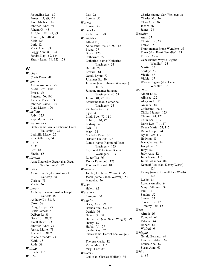Jacqueline Lee: 89 James: 49, 89, 124 Jared Michael: 89 Jennifer Lynn: 89 Johann G.: 48 Jr. John J. III: 49, 89 John J. , Jr.: 48, 49 Kiel: 123 Lori: 124 Mark Allen: 89 Peggy Ann: 89, 124 Sandra Kay: 89, 124 Sherry Lynn: 89, 123, 128

#### **W**

*Wachs -* Curtis Dean: 48 *Wagner -* Arthur Anthony: 83 Audra Beth: 100 Ernest: 56 Eugene: 56, 100 Jeanette Marie: 83 Jennifer Elaine: 100 Lynn Marie: 100 *Wakefield -* Jody: 125 Kaja Myrac: 125 *Waldschmidt -* Greta (name: Anna Katherine Greta Wallsmith): 27 Ludmilla Marie: 27 Rita Belle: 27, 54 *Walker -* ?: 32 Lee: 18 Sheila: 65 *Wallsmith -* Anna Katherine Greta (aka: Greta Waldschmidt): 27 *Walter -* Anton Joseph (aka: Anthony J. Walters): 38 Christa: 73 Maria: 36 *Walters -* Anthony J. (name: Anton Joseph Walter): 38 Anthony L.: 38, 73 Carol: 38 Craig Joseph: 73 Curtis James: 73 Delbert J.: 38 Gerald J.: 38, 73 Janell Dawn: 73 Jennifer Lynn: 73 Jessica Marie: 73 Joanne L.: 38, 73 Jolene Amanda: 73 Keith: 38 Ruth: 38 *Walting -* Linda: 115 *Ward -*

Les: 72 Lorena: 50 *Warner -* Louise: 46 *Warwick -* Kelly Lynn: 98 *Wasinger -* Alfred F. , Sr.: 76 Anita Jane: 40, 77, 78, 118 Bruce: 77 Bruce: 123 Catharine: 55 Catherine (name: Katherine Wasinger): 33 Darrell: 77 Edward: 81 Gerald Lynn: 77 Johannes E.: 40 Julianna (aka: Julianne Wasinger): 40, 77 Julianne (name: Julianna Wasinger): 40, 77 Julius: 40, 77, 118 Katherine (aka: Catherine Wasinger): 33 Kimberly Ann: 81 Kyle: 43 Linda Sue: 77, 118 Lubin J.: 40, 77 Ludwig: 40 Lyle: 77 Mary: 81 Michelle Rene: 76 Orlando Hubert: 123 Ramie (name: Raymond Peter Wasinger): 123 Raymond Peter (aka: Ramie Wasinger): 123 Roger W.: 76 Taylor Raymond: 123 Thomas Edward: 81 *Weaver -* Jacob (aka: Jacob Weaver): 56 Jacob (name: Jacob Weaver): 56 Marcella: 56 *Weber -* Helen: 82 *Webster -* Ramona: 30 *Weigel -* Becky Ann: 89 Brenda Sue: 89, 124 Daniel: 76 Dennis G.: 52 Harriet Lee (aka: Susie Weigel): 79 Henry: 89 Herbert V.: 79 Sandra Kay: 76 Susie (name: Harriet Lee Weigel): 79 Theresa Marie: 124 Verna May: 116 Virgil Lee: 89 *Weilert -* Carl (aka: Charles Weilert): 36

Charles (name: Carl Weilert): 36 Charles M.: 36 Clara Ann: 36 Jacob: 36 James: 36 *Wendler -* Ann: 67 Chester: 33, 67 Frank: 67 Frank (name: Franz Wendler): 33 Franz (aka: Frank Wendler): 33 Frieda: 33, 67 Gene (name: Wayne Eugene Wendler): 33 Martin: 33 Shirley: 33 Vickie: 67 Vickie: 67 Wayne Eugene (aka: Gene Wendler): 33 *Werth -* Albert J.: 52 Allyisa: 122 Aloysius J.: 52 Amanda: 84 Catherine: 40, 41 Clifford James: 123 Clinton: 84, 122 Colin Lee: 123 Darin Lee: 74, 117 Deena Marie: 74, 117 Deon Joseph: 74 Dylan Lee: 117 Hedwig: 83 Ivan Charles: 74 Josephine: 58 Judy: 52 Judy Ann: 124 Julia Marie: 117 Julius Johannes: 84 Kenneth Lee (aka: Kenny Werth): 124 Kenny (name: Kenneth Lee Werth): 124 Leslie: 84 Loretta Amelia: 84 Mary Catherine: 92 Paul: 74 Sandra: 52 Steven: 52 Tanner Lee: 123 Timothy Lee: 123 *West -* Alfred: 26 Edmund: 64 Patricia: 64 Robert: 64 Wilfred: 64 *Whipple -* Gerald Bernard: 69 Lawrence Adolf: 69 Louise Ana: 69 Susan Ann: 69 *White -* ?: 88